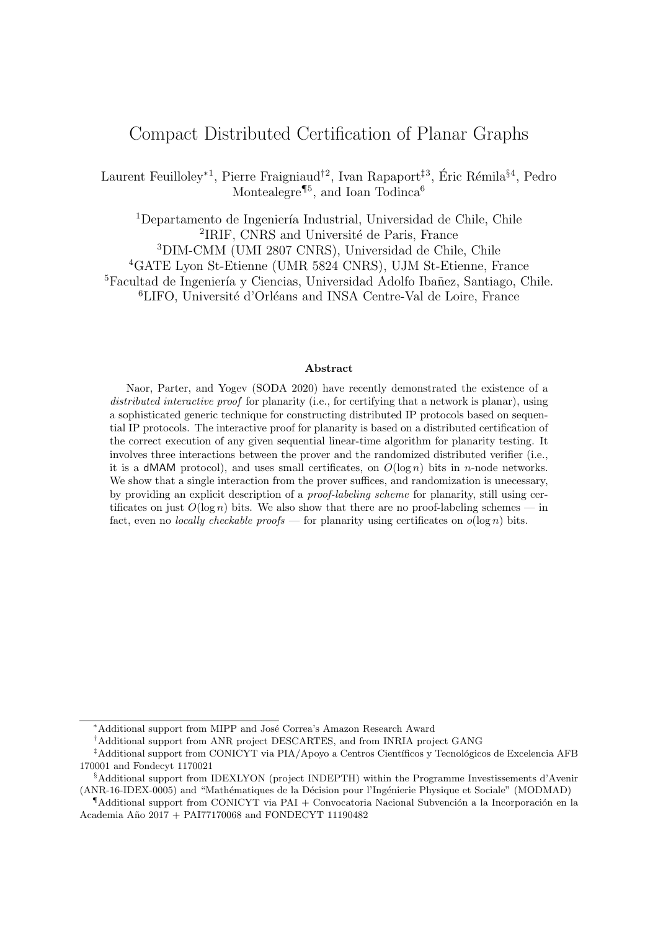# Compact Distributed Certification of Planar Graphs

Laurent Feuilloley<sup>\*1</sup>, Pierre Fraigniaud<sup>†2</sup>, Ivan Rapaport<sup>‡3</sup>, Éric Rémila<sup>§4</sup>, Pedro Montealegre<sup>¶5</sup>, and Ioan Todinca<sup>6</sup>

 $1$ Departamento de Ingeniería Industrial, Universidad de Chile, Chile <sup>2</sup>IRIF, CNRS and Université de Paris, France <sup>3</sup>DIM-CMM (UMI 2807 CNRS), Universidad de Chile, Chile <sup>4</sup>GATE Lyon St-Etienne (UMR 5824 CNRS), UJM St-Etienne, France <sup>5</sup>Facultad de Ingeniería y Ciencias, Universidad Adolfo Ibañez, Santiago, Chile.  ${}^{6}$ LIFO, Université d'Orléans and INSA Centre-Val de Loire, France

#### Abstract

Naor, Parter, and Yogev (SODA 2020) have recently demonstrated the existence of a distributed interactive proof for planarity (i.e., for certifying that a network is planar), using a sophisticated generic technique for constructing distributed IP protocols based on sequential IP protocols. The interactive proof for planarity is based on a distributed certification of the correct execution of any given sequential linear-time algorithm for planarity testing. It involves three interactions between the prover and the randomized distributed verifier (i.e., it is a dMAM protocol), and uses small certificates, on  $O(\log n)$  bits in *n*-node networks. We show that a single interaction from the prover suffices, and randomization is unecessary. by providing an explicit description of a proof-labeling scheme for planarity, still using certificates on just  $O(\log n)$  bits. We also show that there are no proof-labeling schemes — in fact, even no *locally checkable proofs* — for planarity using certificates on  $o(\log n)$  bits.

<sup>\*</sup>Additional support from MIPP and José Correa's Amazon Research Award

<sup>†</sup>Additional support from ANR project DESCARTES, and from INRIA project GANG

<sup>&</sup>lt;sup>‡</sup>Additional support from CONICYT via PIA/Apoyo a Centros Científicos y Tecnológicos de Excelencia AFB 170001 and Fondecyt 1170021

<sup>§</sup>Additional support from IDEXLYON (project INDEPTH) within the Programme Investissements d'Avenir (ANR-16-IDEX-0005) and "Math´ematiques de la D´ecision pour l'Ing´enierie Physique et Sociale" (MODMAD)

 $\P$ Additional support from CONICYT via PAI + Convocatoria Nacional Subvención a la Incorporación en la Academia A˜no 2017 + PAI77170068 and FONDECYT 11190482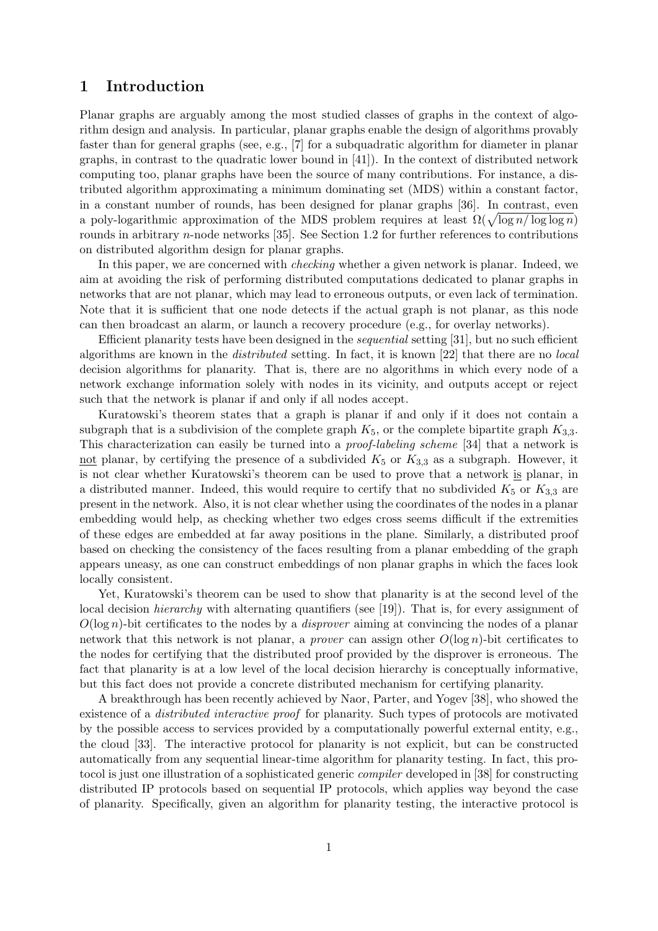## 1 Introduction

Planar graphs are arguably among the most studied classes of graphs in the context of algorithm design and analysis. In particular, planar graphs enable the design of algorithms provably faster than for general graphs (see, e.g., [7] for a subquadratic algorithm for diameter in planar graphs, in contrast to the quadratic lower bound in [41]). In the context of distributed network computing too, planar graphs have been the source of many contributions. For instance, a distributed algorithm approximating a minimum dominating set (MDS) within a constant factor, in a constant number of rounds, has been designed for planar graphs [36]. In contrast, even a poly-logarithmic approximation of the MDS problem requires at least  $\Omega(\sqrt{\log n/\log\log n})$ rounds in arbitrary n-node networks [35]. See Section 1.2 for further references to contributions on distributed algorithm design for planar graphs.

In this paper, we are concerned with *checking* whether a given network is planar. Indeed, we aim at avoiding the risk of performing distributed computations dedicated to planar graphs in networks that are not planar, which may lead to erroneous outputs, or even lack of termination. Note that it is sufficient that one node detects if the actual graph is not planar, as this node can then broadcast an alarm, or launch a recovery procedure (e.g., for overlay networks).

Efficient planarity tests have been designed in the sequential setting [31], but no such efficient algorithms are known in the distributed setting. In fact, it is known [22] that there are no local decision algorithms for planarity. That is, there are no algorithms in which every node of a network exchange information solely with nodes in its vicinity, and outputs accept or reject such that the network is planar if and only if all nodes accept.

Kuratowski's theorem states that a graph is planar if and only if it does not contain a subgraph that is a subdivision of the complete graph  $K_5$ , or the complete bipartite graph  $K_{3,3}$ . This characterization can easily be turned into a proof-labeling scheme [34] that a network is not planar, by certifying the presence of a subdivided  $K_5$  or  $K_{3,3}$  as a subgraph. However, it is not clear whether Kuratowski's theorem can be used to prove that a network is planar, in a distributed manner. Indeed, this would require to certify that no subdivided  $K_5$  or  $K_{3,3}$  are present in the network. Also, it is not clear whether using the coordinates of the nodes in a planar embedding would help, as checking whether two edges cross seems difficult if the extremities of these edges are embedded at far away positions in the plane. Similarly, a distributed proof based on checking the consistency of the faces resulting from a planar embedding of the graph appears uneasy, as one can construct embeddings of non planar graphs in which the faces look locally consistent.

Yet, Kuratowski's theorem can be used to show that planarity is at the second level of the local decision *hierarchy* with alternating quantifiers (see [19]). That is, for every assignment of  $O(\log n)$ -bit certificates to the nodes by a *disprover* aiming at convincing the nodes of a planar network that this network is not planar, a *prover* can assign other  $O(\log n)$ -bit certificates to the nodes for certifying that the distributed proof provided by the disprover is erroneous. The fact that planarity is at a low level of the local decision hierarchy is conceptually informative, but this fact does not provide a concrete distributed mechanism for certifying planarity.

A breakthrough has been recently achieved by Naor, Parter, and Yogev [38], who showed the existence of a distributed interactive proof for planarity. Such types of protocols are motivated by the possible access to services provided by a computationally powerful external entity, e.g., the cloud [33]. The interactive protocol for planarity is not explicit, but can be constructed automatically from any sequential linear-time algorithm for planarity testing. In fact, this protocol is just one illustration of a sophisticated generic compiler developed in [38] for constructing distributed IP protocols based on sequential IP protocols, which applies way beyond the case of planarity. Specifically, given an algorithm for planarity testing, the interactive protocol is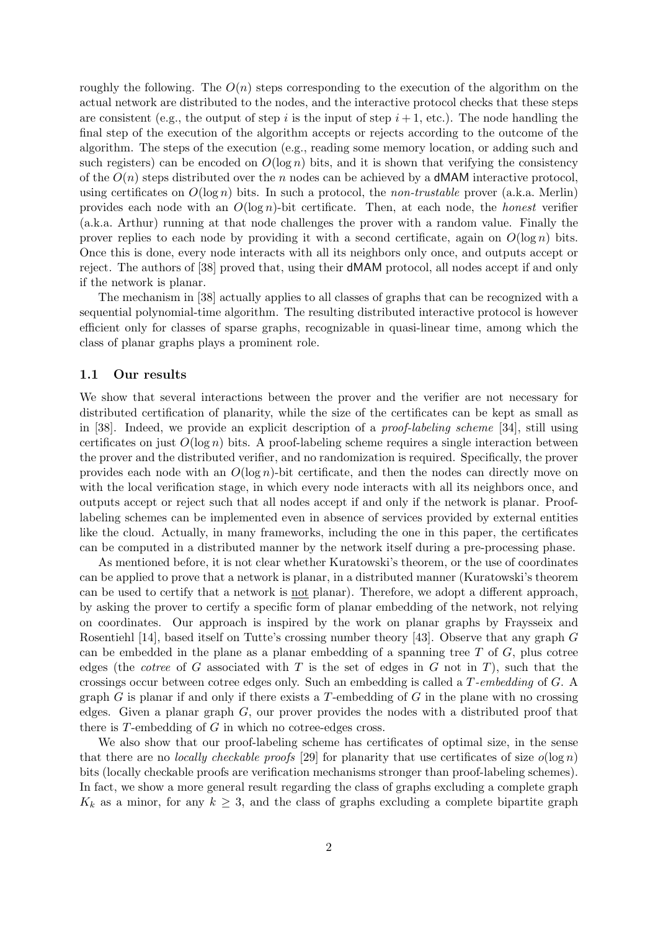roughly the following. The  $O(n)$  steps corresponding to the execution of the algorithm on the actual network are distributed to the nodes, and the interactive protocol checks that these steps are consistent (e.g., the output of step i is the input of step  $i + 1$ , etc.). The node handling the final step of the execution of the algorithm accepts or rejects according to the outcome of the algorithm. The steps of the execution (e.g., reading some memory location, or adding such and such registers) can be encoded on  $O(\log n)$  bits, and it is shown that verifying the consistency of the  $O(n)$  steps distributed over the n nodes can be achieved by a **dMAM** interactive protocol, using certificates on  $O(\log n)$  bits. In such a protocol, the *non-trustable* prover (a.k.a. Merlin) provides each node with an  $O(\log n)$ -bit certificate. Then, at each node, the *honest* verifier (a.k.a. Arthur) running at that node challenges the prover with a random value. Finally the prover replies to each node by providing it with a second certificate, again on  $O(\log n)$  bits. Once this is done, every node interacts with all its neighbors only once, and outputs accept or reject. The authors of [38] proved that, using their dMAM protocol, all nodes accept if and only if the network is planar.

The mechanism in [38] actually applies to all classes of graphs that can be recognized with a sequential polynomial-time algorithm. The resulting distributed interactive protocol is however efficient only for classes of sparse graphs, recognizable in quasi-linear time, among which the class of planar graphs plays a prominent role.

#### 1.1 Our results

We show that several interactions between the prover and the verifier are not necessary for distributed certification of planarity, while the size of the certificates can be kept as small as in [38]. Indeed, we provide an explicit description of a proof-labeling scheme [34], still using certificates on just  $O(\log n)$  bits. A proof-labeling scheme requires a single interaction between the prover and the distributed verifier, and no randomization is required. Specifically, the prover provides each node with an  $O(\log n)$ -bit certificate, and then the nodes can directly move on with the local verification stage, in which every node interacts with all its neighbors once, and outputs accept or reject such that all nodes accept if and only if the network is planar. Prooflabeling schemes can be implemented even in absence of services provided by external entities like the cloud. Actually, in many frameworks, including the one in this paper, the certificates can be computed in a distributed manner by the network itself during a pre-processing phase.

As mentioned before, it is not clear whether Kuratowski's theorem, or the use of coordinates can be applied to prove that a network is planar, in a distributed manner (Kuratowski's theorem can be used to certify that a network is not planar). Therefore, we adopt a different approach, by asking the prover to certify a specific form of planar embedding of the network, not relying on coordinates. Our approach is inspired by the work on planar graphs by Fraysseix and Rosentiehl [14], based itself on Tutte's crossing number theory [43]. Observe that any graph G can be embedded in the plane as a planar embedding of a spanning tree  $T$  of  $G$ , plus cotree edges (the *cotree* of G associated with T is the set of edges in G not in T), such that the crossings occur between cotree edges only. Such an embedding is called a T-embedding of G. A graph G is planar if and only if there exists a T-embedding of  $G$  in the plane with no crossing edges. Given a planar graph  $G$ , our prover provides the nodes with a distributed proof that there is T-embedding of G in which no cotree-edges cross.

We also show that our proof-labeling scheme has certificates of optimal size, in the sense that there are no *locally checkable proofs* [29] for planarity that use certificates of size  $o(\log n)$ bits (locally checkable proofs are verification mechanisms stronger than proof-labeling schemes). In fact, we show a more general result regarding the class of graphs excluding a complete graph  $K_k$  as a minor, for any  $k \geq 3$ , and the class of graphs excluding a complete bipartite graph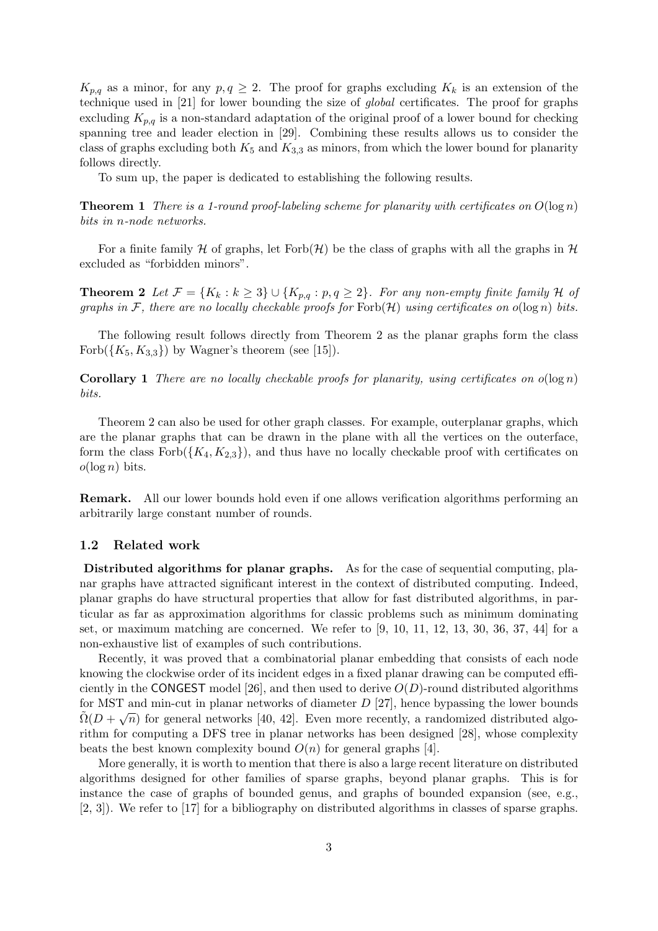$K_{p,q}$  as a minor, for any  $p,q\geq 2$ . The proof for graphs excluding  $K_k$  is an extension of the technique used in [21] for lower bounding the size of global certificates. The proof for graphs excluding  $K_{p,q}$  is a non-standard adaptation of the original proof of a lower bound for checking spanning tree and leader election in [29]. Combining these results allows us to consider the class of graphs excluding both  $K_5$  and  $K_{3,3}$  as minors, from which the lower bound for planarity follows directly.

To sum up, the paper is dedicated to establishing the following results.

**Theorem 1** There is a 1-round proof-labeling scheme for planarity with certificates on  $O(\log n)$ bits in n-node networks.

For a finite family H of graphs, let Forb $(H)$  be the class of graphs with all the graphs in H excluded as "forbidden minors".

**Theorem 2** Let  $\mathcal{F} = \{K_k : k \geq 3\} \cup \{K_{p,q} : p,q \geq 2\}$ . For any non-empty finite family H of graphs in F, there are no locally checkable proofs for  $Forb(H)$  using certificates on  $o(\log n)$  bits.

The following result follows directly from Theorem 2 as the planar graphs form the class Forb $({K_5, K_{3,3}})$  by Wagner's theorem (see [15]).

**Corollary 1** There are no locally checkable proofs for planarity, using certificates on  $o(\log n)$ bits.

Theorem 2 can also be used for other graph classes. For example, outerplanar graphs, which are the planar graphs that can be drawn in the plane with all the vertices on the outerface, form the class  $\text{Forb}(\lbrace K_4, K_{2,3} \rbrace)$ , and thus have no locally checkable proof with certificates on  $o(\log n)$  bits.

Remark. All our lower bounds hold even if one allows verification algorithms performing an arbitrarily large constant number of rounds.

#### 1.2 Related work

Distributed algorithms for planar graphs. As for the case of sequential computing, planar graphs have attracted significant interest in the context of distributed computing. Indeed, planar graphs do have structural properties that allow for fast distributed algorithms, in particular as far as approximation algorithms for classic problems such as minimum dominating set, or maximum matching are concerned. We refer to  $[9, 10, 11, 12, 13, 30, 36, 37, 44]$  for a non-exhaustive list of examples of such contributions.

Recently, it was proved that a combinatorial planar embedding that consists of each node knowing the clockwise order of its incident edges in a fixed planar drawing can be computed efficiently in the CONGEST model [26], and then used to derive  $O(D)$ -round distributed algorithms for MST and min-cut in planar networks of diameter  $D$  [27], hence bypassing the lower bounds  $\tilde{\Omega}(D+\sqrt{n})$  for general networks [40, 42]. Even more recently, a randomized distributed algorithm for computing a DFS tree in planar networks has been designed [28], whose complexity beats the best known complexity bound  $O(n)$  for general graphs [4].

More generally, it is worth to mention that there is also a large recent literature on distributed algorithms designed for other families of sparse graphs, beyond planar graphs. This is for instance the case of graphs of bounded genus, and graphs of bounded expansion (see, e.g., [2, 3]). We refer to [17] for a bibliography on distributed algorithms in classes of sparse graphs.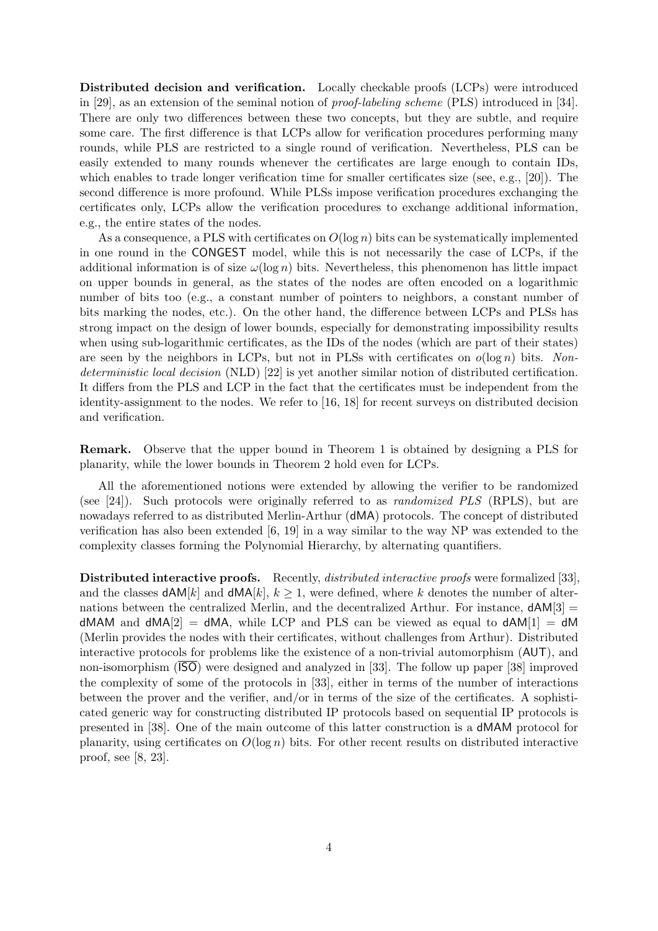Distributed decision and verification. Locally checkable proofs (LCPs) were introduced in [29], as an extension of the seminal notion of proof-labeling scheme (PLS) introduced in [34]. There are only two differences between these two concepts, but they are subtle, and require some care. The first difference is that LCPs allow for verification procedures performing many rounds, while PLS are restricted to a single round of verification. Nevertheless, PLS can be easily extended to many rounds whenever the certificates are large enough to contain IDs, which enables to trade longer verification time for smaller certificates size (see, e.g., [20]). The second difference is more profound. While PLSs impose verification procedures exchanging the certificates only, LCPs allow the verification procedures to exchange additional information, e.g., the entire states of the nodes.

As a consequence, a PLS with certificates on  $O(\log n)$  bits can be systematically implemented in one round in the CONGEST model, while this is not necessarily the case of LCPs, if the additional information is of size  $\omega(\log n)$  bits. Nevertheless, this phenomenon has little impact on upper bounds in general, as the states of the nodes are often encoded on a logarithmic number of bits too (e.g., a constant number of pointers to neighbors, a constant number of bits marking the nodes, etc.). On the other hand, the difference between LCPs and PLSs has strong impact on the design of lower bounds, especially for demonstrating impossibility results when using sub-logarithmic certificates, as the IDs of the nodes (which are part of their states) are seen by the neighbors in LCPs, but not in PLSs with certificates on  $o(\log n)$  bits. Nondeterministic local decision (NLD) [22] is yet another similar notion of distributed certification. It differs from the PLS and LCP in the fact that the certificates must be independent from the identity-assignment to the nodes. We refer to [16, 18] for recent surveys on distributed decision and verification.

Remark. Observe that the upper bound in Theorem 1 is obtained by designing a PLS for planarity, while the lower bounds in Theorem 2 hold even for LCPs.

All the aforementioned notions were extended by allowing the verifier to be randomized (see [24]). Such protocols were originally referred to as randomized PLS (RPLS), but are nowadays referred to as distributed Merlin-Arthur (dMA) protocols. The concept of distributed verification has also been extended [6, 19] in a way similar to the way NP was extended to the complexity classes forming the Polynomial Hierarchy, by alternating quantifiers.

Distributed interactive proofs. Recently, *distributed interactive proofs* were formalized [33], and the classes  $dAM[k]$  and  $dMA[k], k \geq 1$ , were defined, where k denotes the number of alternations between the centralized Merlin, and the decentralized Arthur. For instance,  $dAM[3] =$  $dMAM$  and  $dMA[2] = dMA$ , while LCP and PLS can be viewed as equal to  $dAM[1] = dM$ (Merlin provides the nodes with their certificates, without challenges from Arthur). Distributed interactive protocols for problems like the existence of a non-trivial automorphism (AUT), and non-isomorphism (ISO) were designed and analyzed in [33]. The follow up paper [38] improved the complexity of some of the protocols in [33], either in terms of the number of interactions between the prover and the verifier, and/or in terms of the size of the certificates. A sophisticated generic way for constructing distributed IP protocols based on sequential IP protocols is presented in [38]. One of the main outcome of this latter construction is a dMAM protocol for planarity, using certificates on  $O(\log n)$  bits. For other recent results on distributed interactive proof, see [8, 23].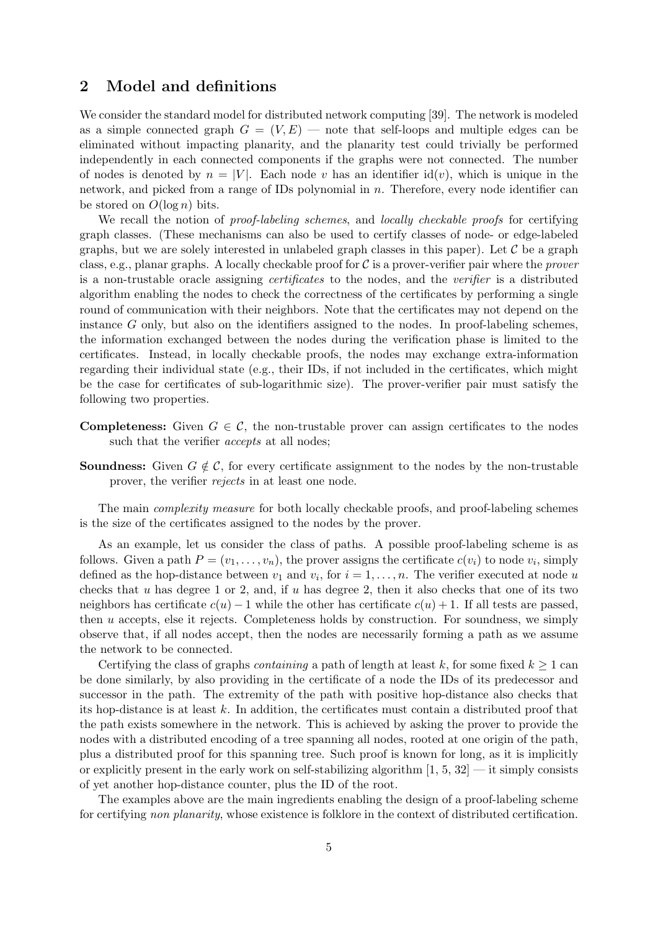# 2 Model and definitions

We consider the standard model for distributed network computing [39]. The network is modeled as a simple connected graph  $G = (V, E)$  — note that self-loops and multiple edges can be eliminated without impacting planarity, and the planarity test could trivially be performed independently in each connected components if the graphs were not connected. The number of nodes is denoted by  $n = |V|$ . Each node v has an identifier id(v), which is unique in the network, and picked from a range of IDs polynomial in  $n$ . Therefore, every node identifier can be stored on  $O(\log n)$  bits.

We recall the notion of *proof-labeling schemes*, and *locally checkable proofs* for certifying graph classes. (These mechanisms can also be used to certify classes of node- or edge-labeled graphs, but we are solely interested in unlabeled graph classes in this paper). Let  $\mathcal C$  be a graph class, e.g., planar graphs. A locally checkable proof for  $\mathcal C$  is a prover-verifier pair where the *prover* is a non-trustable oracle assigning certificates to the nodes, and the verifier is a distributed algorithm enabling the nodes to check the correctness of the certificates by performing a single round of communication with their neighbors. Note that the certificates may not depend on the instance G only, but also on the identifiers assigned to the nodes. In proof-labeling schemes, the information exchanged between the nodes during the verification phase is limited to the certificates. Instead, in locally checkable proofs, the nodes may exchange extra-information regarding their individual state (e.g., their IDs, if not included in the certificates, which might be the case for certificates of sub-logarithmic size). The prover-verifier pair must satisfy the following two properties.

- **Completeness:** Given  $G \in \mathcal{C}$ , the non-trustable prover can assign certificates to the nodes such that the verifier *accepts* at all nodes;
- **Soundness:** Given  $G \notin \mathcal{C}$ , for every certificate assignment to the nodes by the non-trustable prover, the verifier rejects in at least one node.

The main *complexity measure* for both locally checkable proofs, and proof-labeling schemes is the size of the certificates assigned to the nodes by the prover.

As an example, let us consider the class of paths. A possible proof-labeling scheme is as follows. Given a path  $P = (v_1, \ldots, v_n)$ , the prover assigns the certificate  $c(v_i)$  to node  $v_i$ , simply defined as the hop-distance between  $v_1$  and  $v_i$ , for  $i = 1, \ldots, n$ . The verifier executed at node u checks that u has degree 1 or 2, and, if u has degree 2, then it also checks that one of its two neighbors has certificate  $c(u) - 1$  while the other has certificate  $c(u) + 1$ . If all tests are passed, then u accepts, else it rejects. Completeness holds by construction. For soundness, we simply observe that, if all nodes accept, then the nodes are necessarily forming a path as we assume the network to be connected.

Certifying the class of graphs *containing* a path of length at least k, for some fixed  $k \ge 1$  can be done similarly, by also providing in the certificate of a node the IDs of its predecessor and successor in the path. The extremity of the path with positive hop-distance also checks that its hop-distance is at least k. In addition, the certificates must contain a distributed proof that the path exists somewhere in the network. This is achieved by asking the prover to provide the nodes with a distributed encoding of a tree spanning all nodes, rooted at one origin of the path, plus a distributed proof for this spanning tree. Such proof is known for long, as it is implicitly or explicitly present in the early work on self-stabilizing algorithm  $[1, 5, 32]$  — it simply consists of yet another hop-distance counter, plus the ID of the root.

The examples above are the main ingredients enabling the design of a proof-labeling scheme for certifying non planarity, whose existence is folklore in the context of distributed certification.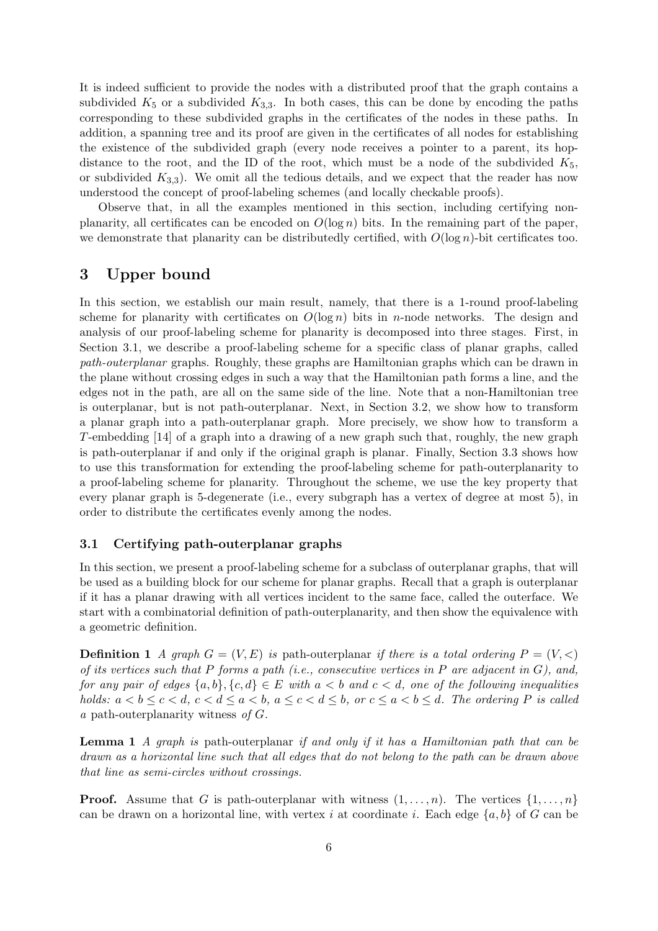It is indeed sufficient to provide the nodes with a distributed proof that the graph contains a subdivided  $K_5$  or a subdivided  $K_{3,3}$ . In both cases, this can be done by encoding the paths corresponding to these subdivided graphs in the certificates of the nodes in these paths. In addition, a spanning tree and its proof are given in the certificates of all nodes for establishing the existence of the subdivided graph (every node receives a pointer to a parent, its hopdistance to the root, and the ID of the root, which must be a node of the subdivided  $K_5$ , or subdivided  $K_{3,3}$ ). We omit all the tedious details, and we expect that the reader has now understood the concept of proof-labeling schemes (and locally checkable proofs).

Observe that, in all the examples mentioned in this section, including certifying nonplanarity, all certificates can be encoded on  $O(\log n)$  bits. In the remaining part of the paper, we demonstrate that planarity can be distributedly certified, with  $O(\log n)$ -bit certificates too.

# 3 Upper bound

In this section, we establish our main result, namely, that there is a 1-round proof-labeling scheme for planarity with certificates on  $O(\log n)$  bits in *n*-node networks. The design and analysis of our proof-labeling scheme for planarity is decomposed into three stages. First, in Section 3.1, we describe a proof-labeling scheme for a specific class of planar graphs, called path-outerplanar graphs. Roughly, these graphs are Hamiltonian graphs which can be drawn in the plane without crossing edges in such a way that the Hamiltonian path forms a line, and the edges not in the path, are all on the same side of the line. Note that a non-Hamiltonian tree is outerplanar, but is not path-outerplanar. Next, in Section 3.2, we show how to transform a planar graph into a path-outerplanar graph. More precisely, we show how to transform a T-embedding [14] of a graph into a drawing of a new graph such that, roughly, the new graph is path-outerplanar if and only if the original graph is planar. Finally, Section 3.3 shows how to use this transformation for extending the proof-labeling scheme for path-outerplanarity to a proof-labeling scheme for planarity. Throughout the scheme, we use the key property that every planar graph is 5-degenerate (i.e., every subgraph has a vertex of degree at most 5), in order to distribute the certificates evenly among the nodes.

### 3.1 Certifying path-outerplanar graphs

In this section, we present a proof-labeling scheme for a subclass of outerplanar graphs, that will be used as a building block for our scheme for planar graphs. Recall that a graph is outerplanar if it has a planar drawing with all vertices incident to the same face, called the outerface. We start with a combinatorial definition of path-outerplanarity, and then show the equivalence with a geometric definition.

**Definition 1** A graph  $G = (V, E)$  is path-outerplanar if there is a total ordering  $P = (V, \leq)$ of its vertices such that P forms a path (i.e., consecutive vertices in P are adjacent in  $G$ ), and, for any pair of edges  $\{a, b\}, \{c, d\} \in E$  with  $a < b$  and  $c < d$ , one of the following inequalities holds:  $a < b \leq c < d$ ,  $c < d \leq a < b$ ,  $a \leq c < d \leq b$ , or  $c \leq a < b \leq d$ . The ordering P is called a path-outerplanarity witness of G.

Lemma 1 A graph is path-outerplanar if and only if it has a Hamiltonian path that can be drawn as a horizontal line such that all edges that do not belong to the path can be drawn above that line as semi-circles without crossings.

**Proof.** Assume that G is path-outerplanar with witness  $(1,\ldots,n)$ . The vertices  $\{1,\ldots,n\}$ can be drawn on a horizontal line, with vertex i at coordinate i. Each edge  $\{a, b\}$  of G can be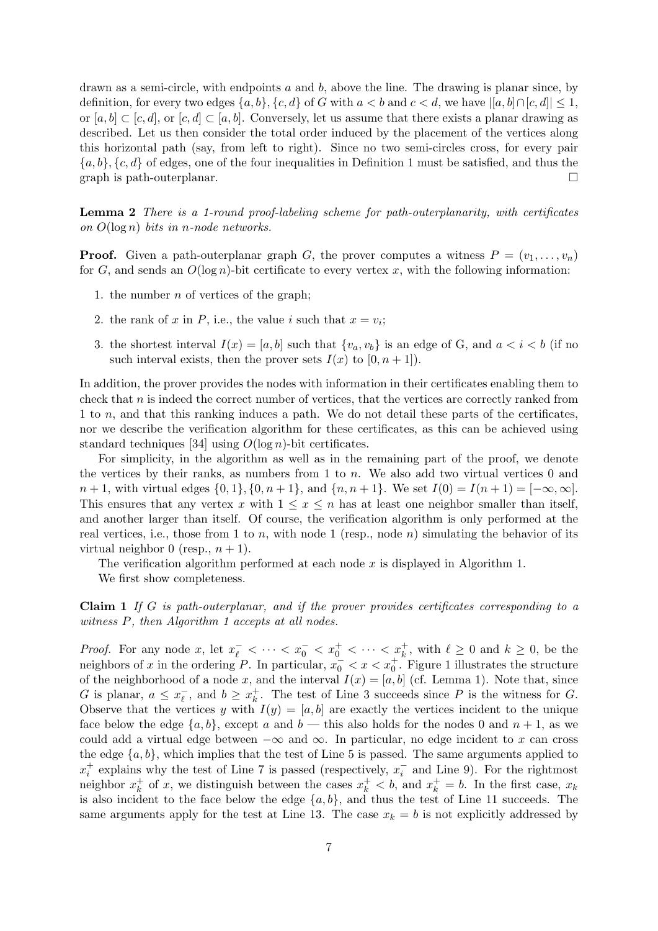drawn as a semi-circle, with endpoints  $a$  and  $b$ , above the line. The drawing is planar since, by definition, for every two edges  $\{a, b\}$ ,  $\{c, d\}$  of G with  $a < b$  and  $c < d$ , we have  $|[a, b] \cap [c, d]| \leq 1$ , or  $[a, b] \subset [c, d]$ , or  $[c, d] \subset [a, b]$ . Conversely, let us assume that there exists a planar drawing as described. Let us then consider the total order induced by the placement of the vertices along this horizontal path (say, from left to right). Since no two semi-circles cross, for every pair  ${a, b}$ ,  ${c, d}$  of edges, one of the four inequalities in Definition 1 must be satisfied, and thus the graph is path-outerplanar.  $\Box$ 

Lemma 2 There is a 1-round proof-labeling scheme for path-outerplanarity, with certificates on  $O(\log n)$  bits in n-node networks.

**Proof.** Given a path-outerplanar graph G, the prover computes a witness  $P = (v_1, \ldots, v_n)$ for G, and sends an  $O(\log n)$ -bit certificate to every vertex x, with the following information:

- 1. the number  $n$  of vertices of the graph;
- 2. the rank of x in P, i.e., the value i such that  $x = v_i$ ;
- 3. the shortest interval  $I(x) = [a, b]$  such that  $\{v_a, v_b\}$  is an edge of G, and  $a < i < b$  (if no such interval exists, then the prover sets  $I(x)$  to  $[0, n+1]$ .

In addition, the prover provides the nodes with information in their certificates enabling them to check that  $n$  is indeed the correct number of vertices, that the vertices are correctly ranked from 1 to n, and that this ranking induces a path. We do not detail these parts of the certificates, nor we describe the verification algorithm for these certificates, as this can be achieved using standard techniques [34] using  $O(\log n)$ -bit certificates.

For simplicity, in the algorithm as well as in the remaining part of the proof, we denote the vertices by their ranks, as numbers from 1 to  $n$ . We also add two virtual vertices 0 and  $n+1$ , with virtual edges  $\{0,1\}, \{0,n+1\}$ , and  $\{n,n+1\}$ . We set  $I(0) = I(n+1) = [-\infty, \infty]$ . This ensures that any vertex x with  $1 \leq x \leq n$  has at least one neighbor smaller than itself, and another larger than itself. Of course, the verification algorithm is only performed at the real vertices, i.e., those from 1 to n, with node 1 (resp., node n) simulating the behavior of its virtual neighbor 0 (resp.,  $n + 1$ ).

The verification algorithm performed at each node x is displayed in Algorithm 1.

We first show completeness.

Claim 1 If G is path-outerplanar, and if the prover provides certificates corresponding to a witness  $P$ , then Algorithm 1 accepts at all nodes.

*Proof.* For any node x, let  $x_{\ell}^- < \cdots < x_0^- < x_0^+ < \cdots < x_k^+$ , with  $\ell \geq 0$  and  $k \geq 0$ , be the neighbors of x in the ordering P. In particular,  $x_0^- < x < x_0^+$ . Figure 1 illustrates the structure of the neighborhood of a node x, and the interval  $I(x) = [a, b]$  (cf. Lemma 1). Note that, since G is planar,  $a \leq x_{\ell}^ \overline{\ell}$ , and  $b \geq x_k^+$  $\frac{1}{k}$ . The test of Line 3 succeeds since P is the witness for G. Observe that the vertices y with  $I(y) = [a, b]$  are exactly the vertices incident to the unique face below the edge  $\{a, b\}$ , except a and  $b$  — this also holds for the nodes 0 and  $n + 1$ , as we could add a virtual edge between  $-\infty$  and  $\infty$ . In particular, no edge incident to x can cross the edge  $\{a, b\}$ , which implies that the test of Line 5 is passed. The same arguments applied to  $x_i^+$  explains why the test of Line 7 is passed (respectively,  $x_i^-$  and Line 9). For the rightmost neighbor  $x_k^+$ <sup>+</sup><sub>k</sub> of x, we distinguish between the cases  $x_k^+ < b$ , and  $x_k^+ = b$ . In the first case,  $x_k$ is also incident to the face below the edge  $\{a, b\}$ , and thus the test of Line 11 succeeds. The same arguments apply for the test at Line 13. The case  $x_k = b$  is not explicitly addressed by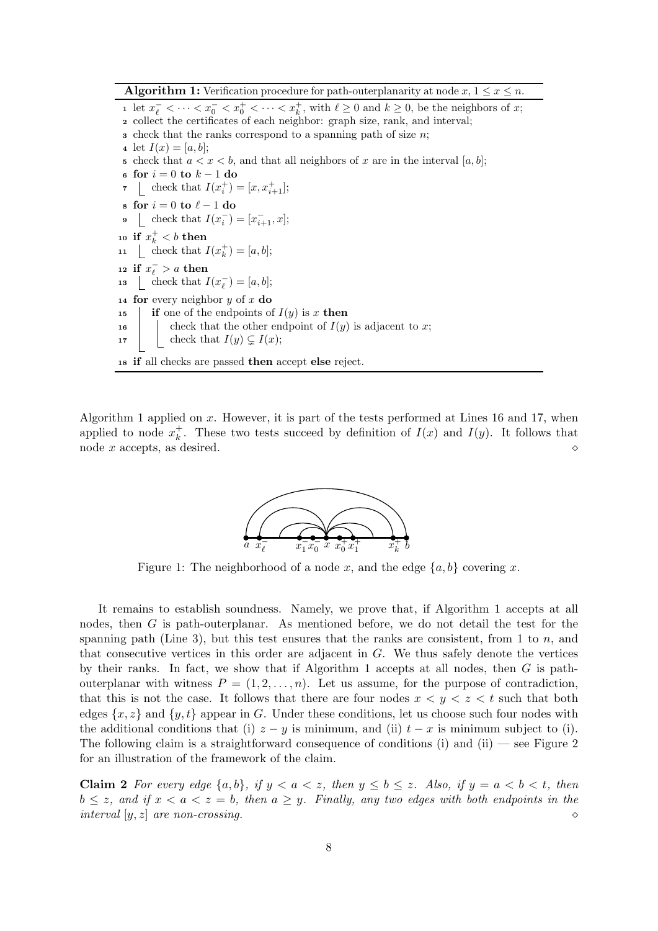**Algorithm 1:** Verification procedure for path-outerplanarity at node  $x, 1 \leq x \leq n$ .

1 let  $x_{\ell}^- < \cdots < x_0^- < x_0^+ < \cdots < x_k^+$ , with  $\ell \geq 0$  and  $k \geq 0$ , be the neighbors of x; <sup>2</sup> collect the certificates of each neighbor: graph size, rank, and interval;  $\alpha$  check that the ranks correspond to a spanning path of size *n*; 4 let  $I(x) = [a, b]$ ; 5 check that  $a < x < b$ , and that all neighbors of x are in the interval [a, b]; 6 for  $i = 0$  to  $k - 1$  do 7 check that  $I(x_i^+) = [x, x_{i+1}^+]$ ; 8 for  $i = 0$  to  $\ell - 1$  do 9 check that  $I(x_i^-) = [x_{i+1}^-, x]$ ; 10 if  $x_k^+ < b$  then 11 [check that  $I(x_k^+) = [a, b];$ 12 if  $x_{\ell}^- > a$  then 13 Lendright Check that  $I(x_\ell^-) = [a, b];$ 14 for every neighbor  $y$  of  $x$  do 15 if one of the endpoints of  $I(y)$  is x then 16 check that the other endpoint of  $I(y)$  is adjacent to x; 17 | check that  $I(y) \subsetneq I(x);$ <sup>18</sup> if all checks are passed then accept else reject.

Algorithm 1 applied on x. However, it is part of the tests performed at Lines 16 and 17, when applied to node  $x_k^+$  $\frac{1}{k}$ . These two tests succeed by definition of  $I(x)$  and  $I(y)$ . It follows that node x accepts, as desired.  $\Diamond$ 



Figure 1: The neighborhood of a node x, and the edge  $\{a, b\}$  covering x.

It remains to establish soundness. Namely, we prove that, if Algorithm 1 accepts at all nodes, then G is path-outerplanar. As mentioned before, we do not detail the test for the spanning path (Line 3), but this test ensures that the ranks are consistent, from 1 to n, and that consecutive vertices in this order are adjacent in  $G$ . We thus safely denote the vertices by their ranks. In fact, we show that if Algorithm 1 accepts at all nodes, then  $G$  is pathouterplanar with witness  $P = (1, 2, \ldots, n)$ . Let us assume, for the purpose of contradiction, that this is not the case. It follows that there are four nodes  $x < y < z < t$  such that both edges  $\{x, z\}$  and  $\{y, t\}$  appear in G. Under these conditions, let us choose such four nodes with the additional conditions that (i)  $z - y$  is minimum, and (ii)  $t - x$  is minimum subject to (i). The following claim is a straightforward consequence of conditions (i) and (ii) — see Figure 2 for an illustration of the framework of the claim.

Claim 2 For every edge  $\{a, b\}$ , if  $y < a < z$ , then  $y \le b \le z$ . Also, if  $y = a < b < t$ , then  $b \leq z$ , and if  $x < a < z = b$ , then  $a \geq y$ . Finally, any two edges with both endpoints in the interval  $[y, z]$  are non-crossing.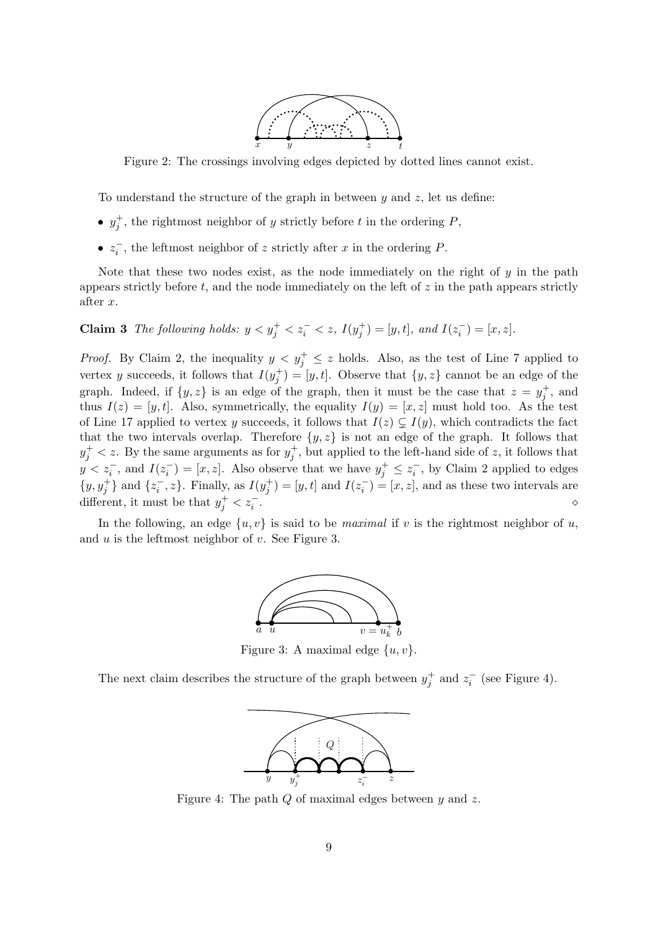

Figure 2: The crossings involving edges depicted by dotted lines cannot exist.

To understand the structure of the graph in between  $y$  and  $z$ , let us define:

- $y_j^+$ , the rightmost neighbor of y strictly before t in the ordering P,
- $z_i^-$ , the leftmost neighbor of z strictly after x in the ordering P.

Note that these two nodes exist, as the node immediately on the right of  $y$  in the path appears strictly before  $t$ , and the node immediately on the left of  $z$  in the path appears strictly after x.

**Claim 3** The following holds:  $y < y_j^+ < z_i^- < z$ ,  $I(y_j^+) = [y, t]$ , and  $I(z_i^-) = [x, z]$ .

*Proof.* By Claim 2, the inequality  $y < y_j^+ \leq z$  holds. Also, as the test of Line 7 applied to vertex y succeeds, it follows that  $I(y_j^+) = [y, t]$ . Observe that  $\{y, z\}$  cannot be an edge of the graph. Indeed, if  $\{y, z\}$  is an edge of the graph, then it must be the case that  $z = y_j^+$ , and thus  $I(z) = [y, t]$ . Also, symmetrically, the equality  $I(y) = [x, z]$  must hold too. As the test of Line 17 applied to vertex y succeeds, it follows that  $I(z) \subsetneq I(y)$ , which contradicts the fact that the two intervals overlap. Therefore  $\{y, z\}$  is not an edge of the graph. It follows that  $y_j^+ < z$ . By the same arguments as for  $y_j^+$ , but applied to the left-hand side of z, it follows that  $y < z_i^-,$  and  $I(z_i^-) = [x, z]$ . Also observe that we have  $y_j^+ \leq z_i^-,$  by Claim 2 applied to edges  $\{y, y_j^+\}$  and  $\{z_i^-, z\}$ . Finally, as  $I(y_j^+) = [y, t]$  and  $I(z_i^-) = [x, z]$ , and as these two intervals are different, it must be that  $y_j^+ < z_i^-$ . The contract of the contract of the contract of  $\phi$ 

In the following, an edge  $\{u, v\}$  is said to be *maximal* if v is the rightmost neighbor of u, and  $u$  is the leftmost neighbor of  $v$ . See Figure 3.



Figure 3: A maximal edge  $\{u, v\}$ .

The next claim describes the structure of the graph between  $y_j^+$  and  $z_i^-$  (see Figure 4).



Figure 4: The path Q of maximal edges between y and z.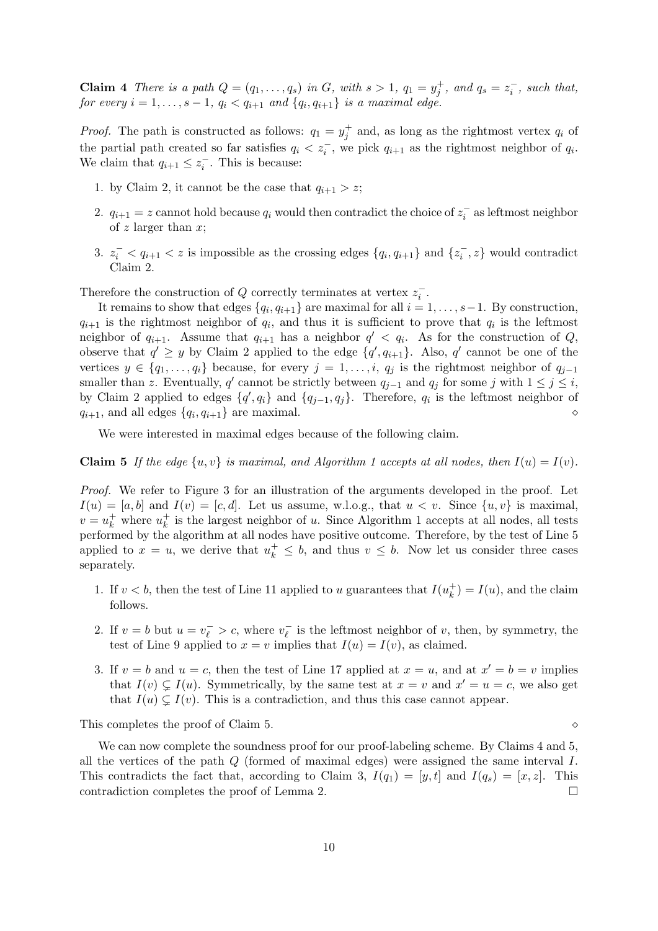**Claim 4** There is a path  $Q = (q_1, \ldots, q_s)$  in G, with  $s > 1$ ,  $q_1 = y_j^+$ , and  $q_s = z_i^-$ , such that, for every  $i = 1, \ldots, s - 1, q_i < q_{i+1}$  and  $\{q_i, q_{i+1}\}\$  is a maximal edge.

*Proof.* The path is constructed as follows:  $q_1 = y_j^+$  and, as long as the rightmost vertex  $q_i$  of the partial path created so far satisfies  $q_i < z_i^-$ , we pick  $q_{i+1}$  as the rightmost neighbor of  $q_i$ . We claim that  $q_{i+1} \leq z_i^-$ . This is because:

- 1. by Claim 2, it cannot be the case that  $q_{i+1} > z$ ;
- 2.  $q_{i+1} = z$  cannot hold because  $q_i$  would then contradict the choice of  $z_i^-$  as leftmost neighbor of z larger than  $x$ ;
- 3.  $z_i^- < q_{i+1} < z$  is impossible as the crossing edges  $\{q_i, q_{i+1}\}\$  and  $\{z_i^-, z\}$  would contradict Claim 2.

Therefore the construction of  $Q$  correctly terminates at vertex  $z_i^-$ .

It remains to show that edges  $\{q_i, q_{i+1}\}\$ are maximal for all  $i = 1, \ldots, s-1$ . By construction,  $q_{i+1}$  is the rightmost neighbor of  $q_i$ , and thus it is sufficient to prove that  $q_i$  is the leftmost neighbor of  $q_{i+1}$ . Assume that  $q_{i+1}$  has a neighbor  $q' < q_i$ . As for the construction of Q, observe that  $q' \geq y$  by Claim 2 applied to the edge  $\{q', q_{i+1}\}\$ . Also, q' cannot be one of the vertices  $y \in \{q_1, \ldots, q_i\}$  because, for every  $j = 1, \ldots, i, q_j$  is the rightmost neighbor of  $q_{j-1}$ smaller than z. Eventually, q' cannot be strictly between  $q_{j-1}$  and  $q_j$  for some j with  $1 \leq j \leq i$ , by Claim 2 applied to edges  $\{q', q_i\}$  and  $\{q_{j-1}, q_j\}$ . Therefore,  $q_i$  is the leftmost neighbor of  $q_{i+1}$ , and all edges  $\{q_i, q_{i+1}\}$  are maximal.

We were interested in maximal edges because of the following claim.

**Claim 5** If the edge  $\{u, v\}$  is maximal, and Algorithm 1 accepts at all nodes, then  $I(u) = I(v)$ .

Proof. We refer to Figure 3 for an illustration of the arguments developed in the proof. Let  $I(u) = [a, b]$  and  $I(v) = [c, d]$ . Let us assume, w.l.o.g., that  $u < v$ . Since  $\{u, v\}$  is maximal,  $v = u_k^+$  where  $u_k^+$  $\frac{1}{k}$  is the largest neighbor of u. Since Algorithm 1 accepts at all nodes, all tests performed by the algorithm at all nodes have positive outcome. Therefore, by the test of Line 5 applied to  $x = u$ , we derive that  $u_k^+ \leq b$ , and thus  $v \leq b$ . Now let us consider three cases separately.

- 1. If  $v < b$ , then the test of Line 11 applied to u guarantees that  $I(u_k^+$  $\binom{+}{k} = I(u)$ , and the claim follows.
- 2. If  $v = b$  but  $u = v_{\ell}^- > c$ , where  $v_{\ell}^ \overline{\ell}$  is the leftmost neighbor of v, then, by symmetry, the test of Line 9 applied to  $x = v$  implies that  $I(u) = I(v)$ , as claimed.
- 3. If  $v = b$  and  $u = c$ , then the test of Line 17 applied at  $x = u$ , and at  $x' = b = v$  implies that  $I(v) \subsetneq I(u)$ . Symmetrically, by the same test at  $x = v$  and  $x' = u = c$ , we also get that  $I(u) \subsetneq I(v)$ . This is a contradiction, and thus this case cannot appear.

This completes the proof of Claim 5.

We can now complete the soundness proof for our proof-labeling scheme. By Claims 4 and 5, all the vertices of the path  $Q$  (formed of maximal edges) were assigned the same interval  $I$ . This contradicts the fact that, according to Claim 3,  $I(q_1) = [y, t]$  and  $I(q_s) = [x, z]$ . This contradiction completes the proof of Lemma 2.  $\Box$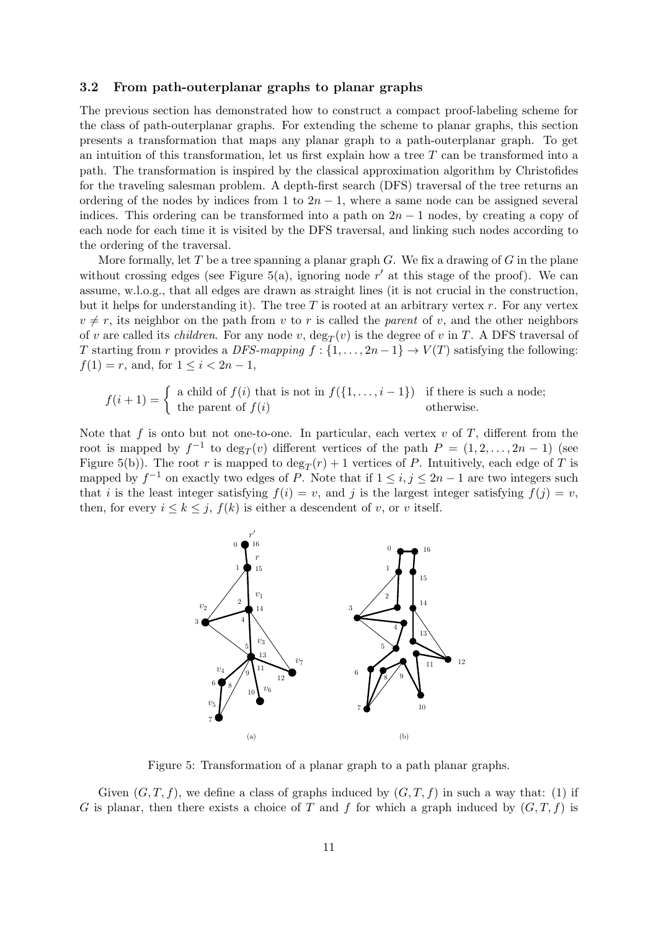### 3.2 From path-outerplanar graphs to planar graphs

The previous section has demonstrated how to construct a compact proof-labeling scheme for the class of path-outerplanar graphs. For extending the scheme to planar graphs, this section presents a transformation that maps any planar graph to a path-outerplanar graph. To get an intuition of this transformation, let us first explain how a tree  $T$  can be transformed into a path. The transformation is inspired by the classical approximation algorithm by Christofides for the traveling salesman problem. A depth-first search (DFS) traversal of the tree returns an ordering of the nodes by indices from 1 to  $2n - 1$ , where a same node can be assigned several indices. This ordering can be transformed into a path on  $2n - 1$  nodes, by creating a copy of each node for each time it is visited by the DFS traversal, and linking such nodes according to the ordering of the traversal.

More formally, let T be a tree spanning a planar graph G. We fix a drawing of G in the plane without crossing edges (see Figure 5(a), ignoring node  $r'$  at this stage of the proof). We can assume, w.l.o.g., that all edges are drawn as straight lines (it is not crucial in the construction, but it helps for understanding it). The tree  $T$  is rooted at an arbitrary vertex  $r$ . For any vertex  $v \neq r$ , its neighbor on the path from v to r is called the parent of v, and the other neighbors of v are called its *children*. For any node v,  $\deg_T(v)$  is the degree of v in T. A DFS traversal of T starting from r provides a DFS-mapping  $f: \{1, \ldots, 2n-1\} \to V(T)$  satisfying the following:  $f(1) = r$ , and, for  $1 \leq i < 2n - 1$ ,

$$
f(i+1) = \begin{cases} a child of f(i) that is not in f(\{1, ..., i-1\}) & \text{if there is such a node;} \\ the parent of f(i) & \text{otherwise.} \end{cases}
$$

Note that f is onto but not one-to-one. In particular, each vertex v of T, different from the root is mapped by  $f^{-1}$  to  $\deg_T(v)$  different vertices of the path  $P = (1, 2, \ldots, 2n - 1)$  (see Figure 5(b)). The root r is mapped to  $\deg_T(r) + 1$  vertices of P. Intuitively, each edge of T is mapped by  $f^{-1}$  on exactly two edges of P. Note that if  $1 \le i, j \le 2n-1$  are two integers such that i is the least integer satisfying  $f(i) = v$ , and j is the largest integer satisfying  $f(j) = v$ , then, for every  $i \leq k \leq j$ ,  $f(k)$  is either a descendent of v, or v itself.



Figure 5: Transformation of a planar graph to a path planar graphs.

Given  $(G, T, f)$ , we define a class of graphs induced by  $(G, T, f)$  in such a way that: (1) if G is planar, then there exists a choice of T and f for which a graph induced by  $(G, T, f)$  is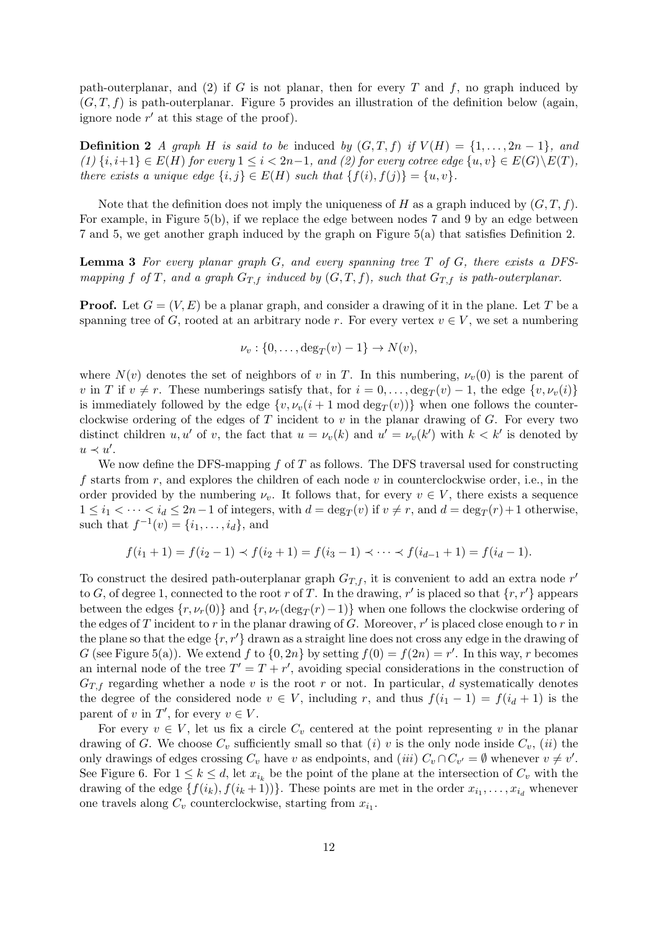path-outerplanar, and (2) if G is not planar, then for every T and  $f$ , no graph induced by  $(G, T, f)$  is path-outerplanar. Figure 5 provides an illustration of the definition below (again, ignore node  $r'$  at this stage of the proof).

**Definition 2** A graph H is said to be induced by  $(G, T, f)$  if  $V(H) = \{1, \ldots, 2n-1\}$ , and  $(1) \{i, i+1\} \in E(H)$  for every  $1 \leq i < 2n-1$ , and  $(2)$  for every cotree edge  $\{u, v\} \in E(G) \backslash E(T)$ , there exists a unique edge  $\{i, j\} \in E(H)$  such that  $\{f(i), f(j)\} = \{u, v\}.$ 

Note that the definition does not imply the uniqueness of H as a graph induced by  $(G, T, f)$ . For example, in Figure 5(b), if we replace the edge between nodes 7 and 9 by an edge between 7 and 5, we get another graph induced by the graph on Figure 5(a) that satisfies Definition 2.

**Lemma 3** For every planar graph  $G$ , and every spanning tree  $T$  of  $G$ , there exists a DFSmapping f of T, and a graph  $G_{T,f}$  induced by  $(G, T, f)$ , such that  $G_{T,f}$  is path-outerplanar.

**Proof.** Let  $G = (V, E)$  be a planar graph, and consider a drawing of it in the plane. Let T be a spanning tree of G, rooted at an arbitrary node r. For every vertex  $v \in V$ , we set a numbering

$$
\nu_v: \{0,\ldots,\deg_T(v)-1\} \to N(v),
$$

where  $N(v)$  denotes the set of neighbors of v in T. In this numbering,  $\nu_v(0)$  is the parent of v in T if  $v \neq r$ . These numberings satisfy that, for  $i = 0, \ldots, \deg_T(v) - 1$ , the edge  $\{v, \nu_v(i)\}$ is immediately followed by the edge  $\{v, \nu_v(i + 1 \mod \deg_T(v))\}$  when one follows the counterclockwise ordering of the edges of  $T$  incident to  $v$  in the planar drawing of  $G$ . For every two distinct children u, u' of v, the fact that  $u = \nu_v(k)$  and  $u' = \nu_v(k')$  with  $k < k'$  is denoted by  $u \prec u'.$ 

We now define the DFS-mapping  $f$  of  $T$  as follows. The DFS traversal used for constructing f starts from r, and explores the children of each node v in counterclockwise order, i.e., in the order provided by the numbering  $\nu_v$ . It follows that, for every  $v \in V$ , there exists a sequence  $1 \leq i_1 < \cdots < i_d \leq 2n-1$  of integers, with  $d = \deg_T(v)$  if  $v \neq r$ , and  $d = \deg_T(r) + 1$  otherwise, such that  $f^{-1}(v) = \{i_1, ..., i_d\}$ , and

$$
f(i_1 + 1) = f(i_2 - 1) \prec f(i_2 + 1) = f(i_3 - 1) \prec \cdots \prec f(i_{d-1} + 1) = f(i_d - 1).
$$

To construct the desired path-outerplanar graph  $G_{T,f}$ , it is convenient to add an extra node r' to G, of degree 1, connected to the root r of T. In the drawing, r' is placed so that  $\{r, r'\}$  appears between the edges  $\{r, \nu_r(0)\}$  and  $\{r, \nu_r(\text{deg}_T(r)-1)\}$  when one follows the clockwise ordering of the edges of T incident to r in the planar drawing of G. Moreover,  $r'$  is placed close enough to r in the plane so that the edge  $\{r, r'\}$  drawn as a straight line does not cross any edge in the drawing of G (see Figure 5(a)). We extend f to  $\{0, 2n\}$  by setting  $f(0) = f(2n) = r'$ . In this way, r becomes an internal node of the tree  $T' = T + r'$ , avoiding special considerations in the construction of  $G_{T,f}$  regarding whether a node v is the root r or not. In particular, d systematically denotes the degree of the considered node  $v \in V$ , including r, and thus  $f(i_1 - 1) = f(i_d + 1)$  is the parent of v in T', for every  $v \in V$ .

For every  $v \in V$ , let us fix a circle  $C_v$  centered at the point representing v in the planar drawing of G. We choose  $C_v$  sufficiently small so that (i) v is the only node inside  $C_v$ , (ii) the only drawings of edges crossing  $C_v$  have v as endpoints, and (iii)  $C_v \cap C_{v'} = \emptyset$  whenever  $v \neq v'$ . See Figure 6. For  $1 \leq k \leq d$ , let  $x_{i_k}$  be the point of the plane at the intersection of  $C_v$  with the drawing of the edge  $\{f(i_k), f(i_k+1)\}\)$ . These points are met in the order  $x_{i_1}, \ldots, x_{i_d}$  whenever one travels along  $C_v$  counterclockwise, starting from  $x_{i_1}$ .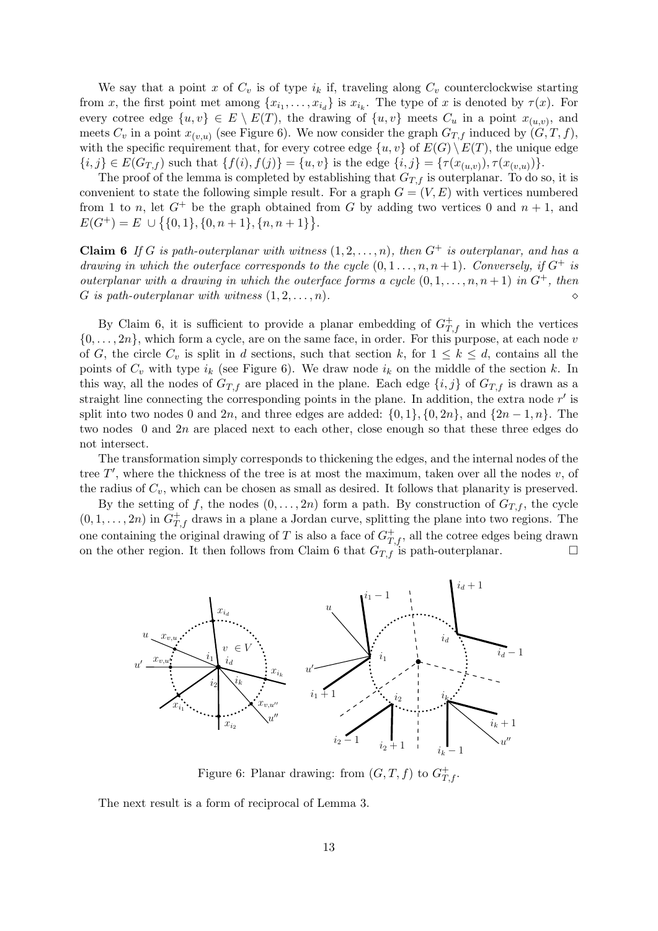We say that a point x of  $C_v$  is of type  $i_k$  if, traveling along  $C_v$  counterclockwise starting from x, the first point met among  $\{x_{i_1},...,x_{i_d}\}$  is  $x_{i_k}$ . The type of x is denoted by  $\tau(x)$ . For every cotree edge  $\{u, v\} \in E \setminus E(T)$ , the drawing of  $\{u, v\}$  meets  $C_u$  in a point  $x_{(u,v)}$ , and meets  $C_v$  in a point  $x_{(v,u)}$  (see Figure 6). We now consider the graph  $G_{T,f}$  induced by  $(G, T, f)$ , with the specific requirement that, for every cotree edge  $\{u, v\}$  of  $E(G) \setminus E(T)$ , the unique edge  ${i, j} \in E(G_{T,f})$  such that  ${f(i), f(j)} = {u, v}$  is the edge  ${i, j} = { \tau(x_{(u,v)}), \tau(x_{(v,u)})}.$ 

The proof of the lemma is completed by establishing that  $G_{T,f}$  is outerplanar. To do so, it is convenient to state the following simple result. For a graph  $G = (V, E)$  with vertices numbered from 1 to n, let  $G^+$  be the graph obtained from G by adding two vertices 0 and  $n + 1$ , and  $E(G^+) = E \cup \{ \{0,1\}, \{0,n+1\}, \{n,n+1\} \}.$ 

**Claim 6** If G is path-outerplanar with witness  $(1, 2, \ldots, n)$ , then  $G^+$  is outerplanar, and has a drawing in which the outerface corresponds to the cycle  $(0, 1, \ldots, n, n+1)$ . Conversely, if  $G^+$  is outerplanar with a drawing in which the outerface forms a cycle  $(0, 1, \ldots, n, n+1)$  in  $G^+$ , then G is path-outerplanar with witness  $(1, 2, \ldots, n)$ .

By Claim 6, it is sufficient to provide a planar embedding of  $G_{T,f}^+$  in which the vertices  $\{0, \ldots, 2n\}$ , which form a cycle, are on the same face, in order. For this purpose, at each node v of G, the circle  $C_v$  is split in d sections, such that section k, for  $1 \leq k \leq d$ , contains all the points of  $C_v$  with type  $i_k$  (see Figure 6). We draw node  $i_k$  on the middle of the section k. In this way, all the nodes of  $G_{T,f}$  are placed in the plane. Each edge  $\{i,j\}$  of  $G_{T,f}$  is drawn as a straight line connecting the corresponding points in the plane. In addition, the extra node  $r'$  is split into two nodes 0 and 2n, and three edges are added:  $\{0, 1\}$ ,  $\{0, 2n\}$ , and  $\{2n - 1, n\}$ . The two nodes 0 and 2n are placed next to each other, close enough so that these three edges do not intersect.

The transformation simply corresponds to thickening the edges, and the internal nodes of the tree  $T'$ , where the thickness of the tree is at most the maximum, taken over all the nodes  $v$ , of the radius of  $C_v$ , which can be chosen as small as desired. It follows that planarity is preserved.

By the setting of f, the nodes  $(0, \ldots, 2n)$  form a path. By construction of  $G_{T,f}$ , the cycle  $(0, 1, \ldots, 2n)$  in  $G^+_{T,f}$  draws in a plane a Jordan curve, splitting the plane into two regions. The one containing the original drawing of T is also a face of  $G^+_{T,f}$ , all the cotree edges being drawn on the other region. It then follows from Claim 6 that  $G_{T,f}$  is path-outerplanar.



Figure 6: Planar drawing: from  $(G, T, f)$  to  $G_{T,f}^+$ .

The next result is a form of reciprocal of Lemma 3.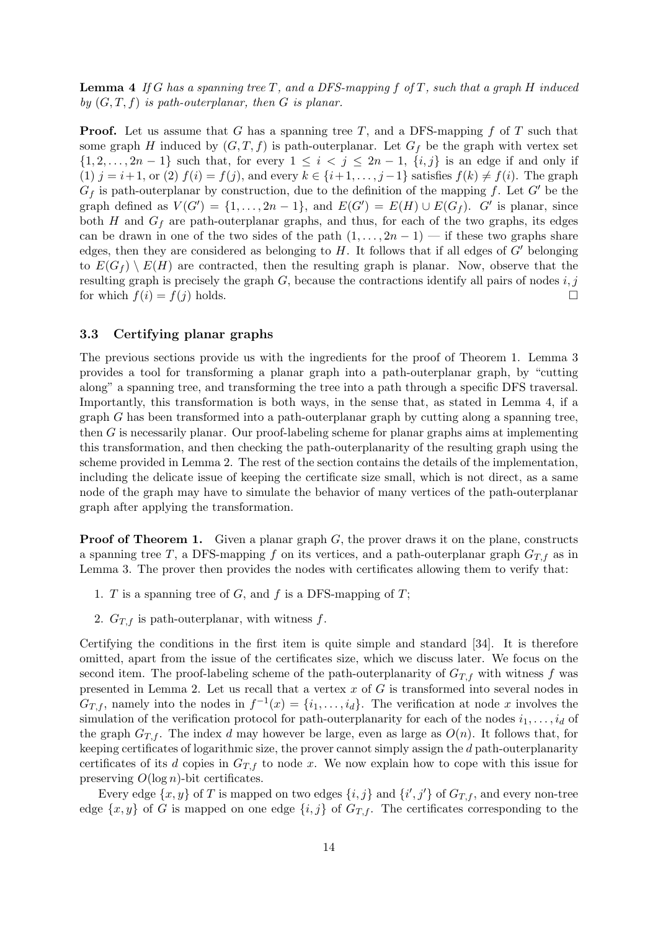**Lemma 4** If G has a spanning tree T, and a DFS-mapping f of T, such that a graph H induced by  $(G, T, f)$  is path-outerplanar, then G is planar.

**Proof.** Let us assume that G has a spanning tree T, and a DFS-mapping  $f$  of T such that some graph H induced by  $(G, T, f)$  is path-outerplanar. Let  $G_f$  be the graph with vertex set  $\{1, 2, \ldots, 2n-1\}$  such that, for every  $1 \leq i < j \leq 2n-1$ ,  $\{i, j\}$  is an edge if and only if (1)  $j = i+1$ , or (2)  $f(i) = f(j)$ , and every  $k \in \{i+1,\ldots,j-1\}$  satisfies  $f(k) \neq f(i)$ . The graph  $G_f$  is path-outerplanar by construction, due to the definition of the mapping f. Let G' be the graph defined as  $V(G') = \{1, \ldots, 2n-1\}$ , and  $E(G') = E(H) \cup E(G_f)$ . G' is planar, since both H and  $G_f$  are path-outerplanar graphs, and thus, for each of the two graphs, its edges can be drawn in one of the two sides of the path  $(1, \ldots, 2n-1)$  — if these two graphs share edges, then they are considered as belonging to H. It follows that if all edges of  $G'$  belonging to  $E(G_f) \setminus E(H)$  are contracted, then the resulting graph is planar. Now, observe that the resulting graph is precisely the graph  $G$ , because the contractions identify all pairs of nodes  $i, j$ for which  $f(i) = f(j)$  holds.

#### 3.3 Certifying planar graphs

The previous sections provide us with the ingredients for the proof of Theorem 1. Lemma 3 provides a tool for transforming a planar graph into a path-outerplanar graph, by "cutting along" a spanning tree, and transforming the tree into a path through a specific DFS traversal. Importantly, this transformation is both ways, in the sense that, as stated in Lemma 4, if a  $graph G$  has been transformed into a path-outerplanar graph by cutting along a spanning tree, then G is necessarily planar. Our proof-labeling scheme for planar graphs aims at implementing this transformation, and then checking the path-outerplanarity of the resulting graph using the scheme provided in Lemma 2. The rest of the section contains the details of the implementation, including the delicate issue of keeping the certificate size small, which is not direct, as a same node of the graph may have to simulate the behavior of many vertices of the path-outerplanar graph after applying the transformation.

**Proof of Theorem 1.** Given a planar graph  $G$ , the prover draws it on the plane, constructs a spanning tree T, a DFS-mapping f on its vertices, and a path-outerplanar graph  $G_{T,f}$  as in Lemma 3. The prover then provides the nodes with certificates allowing them to verify that:

- 1. T is a spanning tree of  $G$ , and  $f$  is a DFS-mapping of  $T$ ;
- 2.  $G_{T,f}$  is path-outerplanar, with witness f.

Certifying the conditions in the first item is quite simple and standard [34]. It is therefore omitted, apart from the issue of the certificates size, which we discuss later. We focus on the second item. The proof-labeling scheme of the path-outerplanarity of  $G_{T,f}$  with witness f was presented in Lemma 2. Let us recall that a vertex  $x$  of  $G$  is transformed into several nodes in  $G_{T,f}$ , namely into the nodes in  $f^{-1}(x) = \{i_1, \ldots, i_d\}$ . The verification at node x involves the simulation of the verification protocol for path-outerplanarity for each of the nodes  $i_1, \ldots, i_d$  of the graph  $G_{T,f}$ . The index d may however be large, even as large as  $O(n)$ . It follows that, for keeping certificates of logarithmic size, the prover cannot simply assign the d path-outerplanarity certificates of its d copies in  $G_{T,f}$  to node x. We now explain how to cope with this issue for preserving  $O(\log n)$ -bit certificates.

Every edge  $\{x, y\}$  of T is mapped on two edges  $\{i, j\}$  and  $\{i', j'\}$  of  $G_{T,f}$ , and every non-tree edge  $\{x, y\}$  of G is mapped on one edge  $\{i, j\}$  of  $G_{T,f}$ . The certificates corresponding to the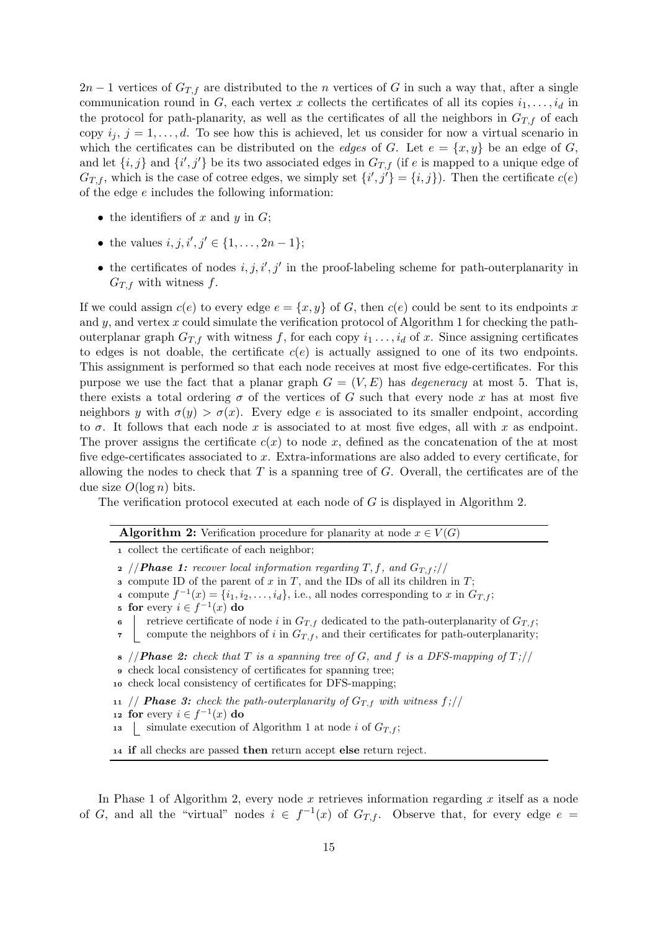$2n-1$  vertices of  $G_{T,f}$  are distributed to the n vertices of G in such a way that, after a single communication round in G, each vertex x collects the certificates of all its copies  $i_1, \ldots, i_d$  in the protocol for path-planarity, as well as the certificates of all the neighbors in  $G_{T,f}$  of each copy  $i_j$ ,  $j = 1, \ldots, d$ . To see how this is achieved, let us consider for now a virtual scenario in which the certificates can be distributed on the *edges* of G. Let  $e = \{x, y\}$  be an edge of G, and let  $\{i, j\}$  and  $\{i', j'\}$  be its two associated edges in  $G_{T,f}$  (if e is mapped to a unique edge of  $G_{T,f}$ , which is the case of cotree edges, we simply set  $\{i',j'\} = \{i,j\}$ . Then the certificate  $c(e)$ of the edge e includes the following information:

- the identifiers of x and  $y$  in  $G$ ;
- the values  $i, j, i', j' \in \{1, ..., 2n 1\};$
- the certificates of nodes  $i, j, i', j'$  in the proof-labeling scheme for path-outerplanarity in  $G_{T,f}$  with witness f.

If we could assign  $c(e)$  to every edge  $e = \{x, y\}$  of G, then  $c(e)$  could be sent to its endpoints x and  $y$ , and vertex x could simulate the verification protocol of Algorithm 1 for checking the pathouterplanar graph  $G_{T,f}$  with witness f, for each copy  $i_1 \ldots, i_d$  of x. Since assigning certificates to edges is not doable, the certificate  $c(e)$  is actually assigned to one of its two endpoints. This assignment is performed so that each node receives at most five edge-certificates. For this purpose we use the fact that a planar graph  $G = (V, E)$  has *degeneracy* at most 5. That is, there exists a total ordering  $\sigma$  of the vertices of G such that every node x has at most five neighbors y with  $\sigma(y) > \sigma(x)$ . Every edge e is associated to its smaller endpoint, according to  $\sigma$ . It follows that each node x is associated to at most five edges, all with x as endpoint. The prover assigns the certificate  $c(x)$  to node x, defined as the concatenation of the at most five edge-certificates associated to x. Extra-informations are also added to every certificate, for allowing the nodes to check that  $T$  is a spanning tree of  $G$ . Overall, the certificates are of the due size  $O(\log n)$  bits.

The verification protocol executed at each node of G is displayed in Algorithm 2.

| <b>Algorithm 2:</b> Verification procedure for planarity at node $x \in V(G)$ |
|-------------------------------------------------------------------------------|
|-------------------------------------------------------------------------------|

<sup>1</sup> collect the certificate of each neighbor;

- 2 //**Phase 1:** recover local information regarding T, f, and  $G_{T,f}$ ;//
- 3 compute ID of the parent of  $x$  in  $T$ , and the IDs of all its children in  $T$ ;
- 4 compute  $f^{-1}(x) = \{i_1, i_2, \ldots, i_d\}$ , i.e., all nodes corresponding to x in  $G_{T,f}$ ;
- 5 for every  $i \in f^{-1}(x)$  do

 $\overline{a}$ 

- 6 retrieve certificate of node i in  $G_{T,f}$  dedicated to the path-outerplanarity of  $G_{T,f}$ ;
- $\tau$  compute the neighbors of i in  $G_{T,f}$ , and their certificates for path-outerplanarity;
- 8 //**Phase 2:** check that T is a spanning tree of G, and f is a DFS-mapping of  $T$ ;//
- check local consistency of certificates for spanning tree;
- <sup>10</sup> check local consistency of certificates for DFS-mapping;

11 // **Phase 3:** check the path-outerplanarity of  $G_{T,f}$  with witness  $f$ ;//

- 12 for every  $i \in f^{-1}(x)$  do
- 13 | simulate execution of Algorithm 1 at node i of  $G_{T,f}$ ;

<sup>14</sup> if all checks are passed then return accept else return reject.

In Phase 1 of Algorithm 2, every node  $x$  retrieves information regarding  $x$  itself as a node of G, and all the "virtual" nodes  $i \in f^{-1}(x)$  of  $G_{T,f}$ . Observe that, for every edge  $e =$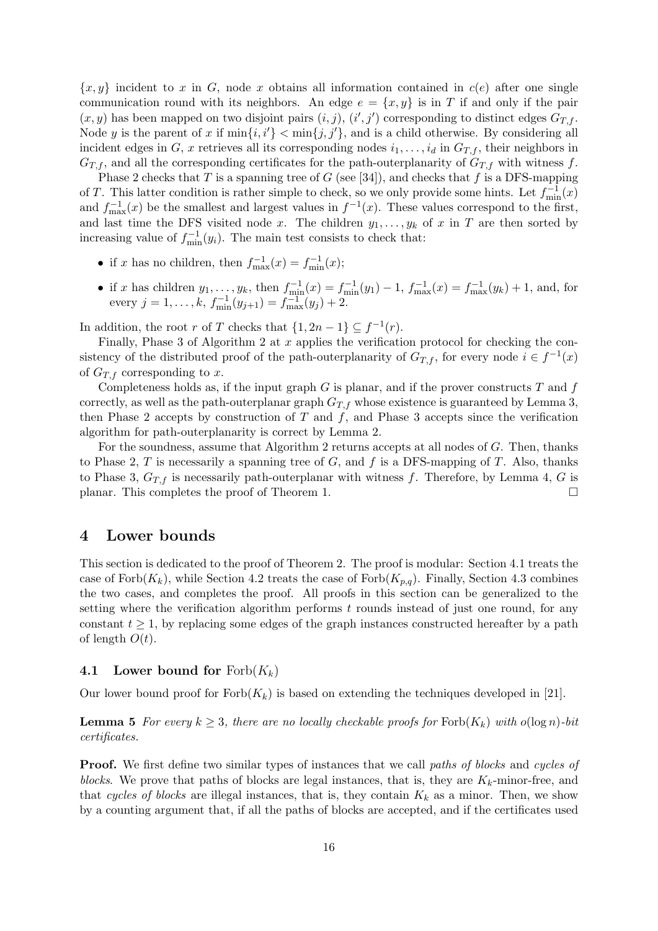${x, y}$  incident to x in G, node x obtains all information contained in  $c(e)$  after one single communication round with its neighbors. An edge  $e = \{x, y\}$  is in T if and only if the pair  $(x, y)$  has been mapped on two disjoint pairs  $(i, j)$ ,  $(i', j')$  corresponding to distinct edges  $G_{T,f}$ . Node y is the parent of x if  $\min\{i, i'\} < \min\{j, j'\}$ , and is a child otherwise. By considering all incident edges in G, x retrieves all its corresponding nodes  $i_1, \ldots, i_d$  in  $G_{T,f}$ , their neighbors in  $G_{T,f}$  and all the corresponding certificates for the path-outerplanarity of  $G_{T,f}$  with witness f.

Phase 2 checks that T is a spanning tree of G (see [34]), and checks that f is a DFS-mapping of T. This latter condition is rather simple to check, so we only provide some hints. Let  $f_{\min}^{-1}(x)$ and  $f_{\text{max}}^{-1}(x)$  be the smallest and largest values in  $f^{-1}(x)$ . These values correspond to the first, and last time the DFS visited node x. The children  $y_1, \ldots, y_k$  of x in T are then sorted by increasing value of  $f_{\min}^{-1}(y_i)$ . The main test consists to check that:

- if x has no children, then  $f_{\text{max}}^{-1}(x) = f_{\text{min}}^{-1}(x);$
- if x has children  $y_1, \ldots, y_k$ , then  $f_{\min}^{-1}(x) = f_{\min}^{-1}(y_1) 1$ ,  $f_{\max}^{-1}(x) = f_{\max}^{-1}(y_k) + 1$ , and, for every  $j = 1, ..., k, f_{\min}^{-1}(y_{j+1}) = f_{\max}^{-1}(y_j) + 2.$

In addition, the root r of T checks that  $\{1, 2n - 1\} \subseteq f^{-1}(r)$ .

Finally, Phase 3 of Algorithm 2 at  $x$  applies the verification protocol for checking the consistency of the distributed proof of the path-outerplanarity of  $G_{T,f}$ , for every node  $i \in f^{-1}(x)$ of  $G_{T,f}$  corresponding to x.

Completeness holds as, if the input graph  $G$  is planar, and if the prover constructs  $T$  and  $f$ correctly, as well as the path-outerplanar graph  $G_{T,f}$  whose existence is guaranteed by Lemma 3, then Phase 2 accepts by construction of  $T$  and  $f$ , and Phase 3 accepts since the verification algorithm for path-outerplanarity is correct by Lemma 2.

For the soundness, assume that Algorithm 2 returns accepts at all nodes of G. Then, thanks to Phase 2, T is necessarily a spanning tree of  $G$ , and  $f$  is a DFS-mapping of  $T$ . Also, thanks to Phase 3,  $G_{T,f}$  is necessarily path-outerplanar with witness f. Therefore, by Lemma 4, G is planar. This completes the proof of Theorem 1.

### 4 Lower bounds

This section is dedicated to the proof of Theorem 2. The proof is modular: Section 4.1 treats the case of Forb $(K_k)$ , while Section 4.2 treats the case of Forb $(K_{p,q})$ . Finally, Section 4.3 combines the two cases, and completes the proof. All proofs in this section can be generalized to the setting where the verification algorithm performs  $t$  rounds instead of just one round, for any constant  $t \geq 1$ , by replacing some edges of the graph instances constructed hereafter by a path of length  $O(t)$ .

### 4.1 Lower bound for  $Fork(K_k)$

Our lower bound proof for  $Forb(K_k)$  is based on extending the techniques developed in [21].

**Lemma 5** For every  $k \geq 3$ , there are no locally checkable proofs for Forb $(K_k)$  with  $o(\log n)$ -bit certificates.

**Proof.** We first define two similar types of instances that we call paths of blocks and cycles of blocks. We prove that paths of blocks are legal instances, that is, they are  $K_k$ -minor-free, and that cycles of blocks are illegal instances, that is, they contain  $K_k$  as a minor. Then, we show by a counting argument that, if all the paths of blocks are accepted, and if the certificates used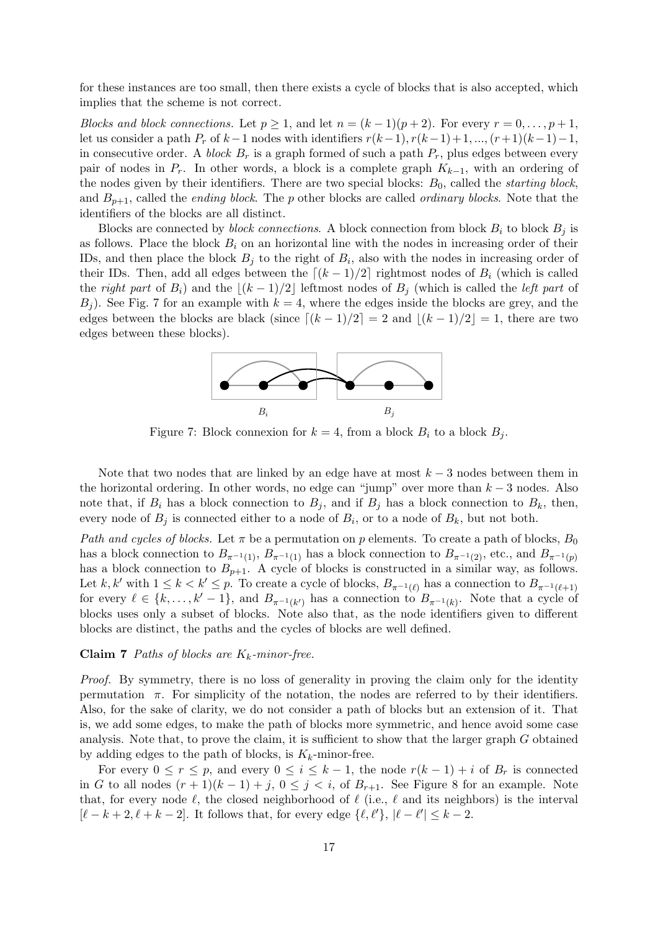for these instances are too small, then there exists a cycle of blocks that is also accepted, which implies that the scheme is not correct.

Blocks and block connections. Let  $p \ge 1$ , and let  $n = (k-1)(p+2)$ . For every  $r = 0, \ldots, p+1$ , let us consider a path  $P_r$  of  $k-1$  nodes with identifiers  $r(k-1), r(k-1)+1, ..., (r+1)(k-1)-1$ , in consecutive order. A block  $B_r$  is a graph formed of such a path  $P_r$ , plus edges between every pair of nodes in  $P_r$ . In other words, a block is a complete graph  $K_{k-1}$ , with an ordering of the nodes given by their identifiers. There are two special blocks:  $B_0$ , called the *starting block*, and  $B_{p+1}$ , called the *ending block*. The p other blocks are called *ordinary blocks*. Note that the identifiers of the blocks are all distinct.

Blocks are connected by *block connections*. A block connection from block  $B_i$  to block  $B_j$  is as follows. Place the block  $B_i$  on an horizontal line with the nodes in increasing order of their IDs, and then place the block  $B_j$  to the right of  $B_i$ , also with the nodes in increasing order of their IDs. Then, add all edges between the  $\lfloor (k - 1)/2 \rfloor$  rightmost nodes of  $B_i$  (which is called the right part of  $B_i$ ) and the  $|(k - 1)/2|$  leftmost nodes of  $B_j$  (which is called the *left part* of  $B<sub>j</sub>$ ). See Fig. 7 for an example with  $k = 4$ , where the edges inside the blocks are grey, and the edges between the blocks are black (since  $\lfloor (k - 1)/2 \rfloor = 2$  and  $\lfloor (k - 1)/2 \rfloor = 1$ , there are two edges between these blocks).



Figure 7: Block connexion for  $k = 4$ , from a block  $B_i$  to a block  $B_j$ .

Note that two nodes that are linked by an edge have at most  $k-3$  nodes between them in the horizontal ordering. In other words, no edge can "jump" over more than  $k-3$  nodes. Also note that, if  $B_i$  has a block connection to  $B_j$ , and if  $B_j$  has a block connection to  $B_k$ , then, every node of  $B_j$  is connected either to a node of  $B_i$ , or to a node of  $B_k$ , but not both.

Path and cycles of blocks. Let  $\pi$  be a permutation on p elements. To create a path of blocks,  $B_0$ has a block connection to  $B_{\pi^{-1}(1)}, B_{\pi^{-1}(1)}$  has a block connection to  $B_{\pi^{-1}(2)},$  etc., and  $B_{\pi^{-1}(p)}$ has a block connection to  $B_{p+1}$ . A cycle of blocks is constructed in a similar way, as follows. Let k, k' with  $1 \leq k < k' \leq p$ . To create a cycle of blocks,  $B_{\pi^{-1}(\ell)}$  has a connection to  $B_{\pi^{-1}(\ell+1)}$ for every  $\ell \in \{k, \ldots, k'-1\}$ , and  $B_{\pi^{-1}(k')}$  has a connection to  $B_{\pi^{-1}(k)}$ . Note that a cycle of blocks uses only a subset of blocks. Note also that, as the node identifiers given to different blocks are distinct, the paths and the cycles of blocks are well defined.

#### Claim 7 Paths of blocks are  $K_k$ -minor-free.

Proof. By symmetry, there is no loss of generality in proving the claim only for the identity permutation  $\pi$ . For simplicity of the notation, the nodes are referred to by their identifiers. Also, for the sake of clarity, we do not consider a path of blocks but an extension of it. That is, we add some edges, to make the path of blocks more symmetric, and hence avoid some case analysis. Note that, to prove the claim, it is sufficient to show that the larger graph G obtained by adding edges to the path of blocks, is  $K_k$ -minor-free.

For every  $0 \le r \le p$ , and every  $0 \le i \le k-1$ , the node  $r(k-1)+i$  of  $B_r$  is connected in G to all nodes  $(r+1)(k-1)+j$ ,  $0 \leq j \leq i$ , of  $B_{r+1}$ . See Figure 8 for an example. Note that, for every node  $\ell$ , the closed neighborhood of  $\ell$  (i.e.,  $\ell$  and its neighbors) is the interval  $[\ell - k + 2, \ell + k - 2]$ . It follows that, for every edge  $\{\ell, \ell'\}, |\ell - \ell'| \leq k - 2$ .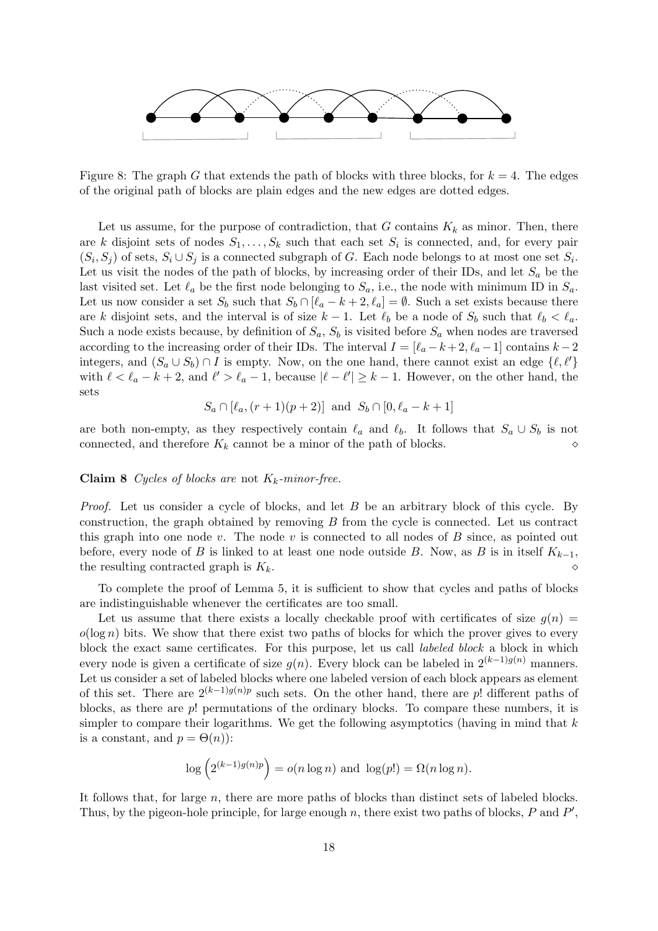

Figure 8: The graph G that extends the path of blocks with three blocks, for  $k = 4$ . The edges of the original path of blocks are plain edges and the new edges are dotted edges.

Let us assume, for the purpose of contradiction, that G contains  $K_k$  as minor. Then, there are k disjoint sets of nodes  $S_1, \ldots, S_k$  such that each set  $S_i$  is connected, and, for every pair  $(S_i, S_j)$  of sets,  $S_i \cup S_j$  is a connected subgraph of G. Each node belongs to at most one set  $S_i$ . Let us visit the nodes of the path of blocks, by increasing order of their IDs, and let  $S_a$  be the last visited set. Let  $\ell_a$  be the first node belonging to  $S_a$ , i.e., the node with minimum ID in  $S_a$ . Let us now consider a set  $S_b$  such that  $S_b \cap [\ell_a - k + 2, \ell_a] = \emptyset$ . Such a set exists because there are k disjoint sets, and the interval is of size  $k - 1$ . Let  $\ell_b$  be a node of  $S_b$  such that  $\ell_b < \ell_a$ . Such a node exists because, by definition of  $S_a$ ,  $S_b$  is visited before  $S_a$  when nodes are traversed according to the increasing order of their IDs. The interval  $I = [\ell_a - k + 2, \ell_a - 1]$  contains  $k - 2$ integers, and  $(S_a \cup S_b) \cap I$  is empty. Now, on the one hand, there cannot exist an edge  $\{\ell, \ell'\}$ with  $\ell < \ell_a - k + 2$ , and  $\ell' > \ell_a - 1$ , because  $|\ell - \ell'| \geq k - 1$ . However, on the other hand, the sets

$$
S_a \cap [\ell_a, (r+1)(p+2)]
$$
 and  $S_b \cap [0, \ell_a - k + 1]$ 

are both non-empty, as they respectively contain  $\ell_a$  and  $\ell_b$ . It follows that  $S_a \cup S_b$  is not connected, and therefore  $K_k$  cannot be a minor of the path of blocks.

#### **Claim 8** Cycles of blocks are not  $K_k$ -minor-free.

Proof. Let us consider a cycle of blocks, and let B be an arbitrary block of this cycle. By construction, the graph obtained by removing  $B$  from the cycle is connected. Let us contract this graph into one node v. The node v is connected to all nodes of  $B$  since, as pointed out before, every node of B is linked to at least one node outside B. Now, as B is in itself  $K_{k-1}$ , the resulting contracted graph is  $K_k$ .

To complete the proof of Lemma 5, it is sufficient to show that cycles and paths of blocks are indistinguishable whenever the certificates are too small.

Let us assume that there exists a locally checkable proof with certificates of size  $g(n)$  =  $o(\log n)$  bits. We show that there exist two paths of blocks for which the prover gives to every block the exact same certificates. For this purpose, let us call labeled block a block in which every node is given a certificate of size  $g(n)$ . Every block can be labeled in  $2^{(k-1)g(n)}$  manners. Let us consider a set of labeled blocks where one labeled version of each block appears as element of this set. There are  $2^{(k-1)g(n)p}$  such sets. On the other hand, there are p! different paths of blocks, as there are p! permutations of the ordinary blocks. To compare these numbers, it is simpler to compare their logarithms. We get the following asymptotics (having in mind that  $k$ is a constant, and  $p = \Theta(n)$ :

$$
\log\left(2^{(k-1)g(n)p}\right) = o(n\log n) \text{ and } \log(p!) = \Omega(n\log n).
$$

It follows that, for large  $n$ , there are more paths of blocks than distinct sets of labeled blocks. Thus, by the pigeon-hole principle, for large enough  $n$ , there exist two paths of blocks,  $P$  and  $P'$ ,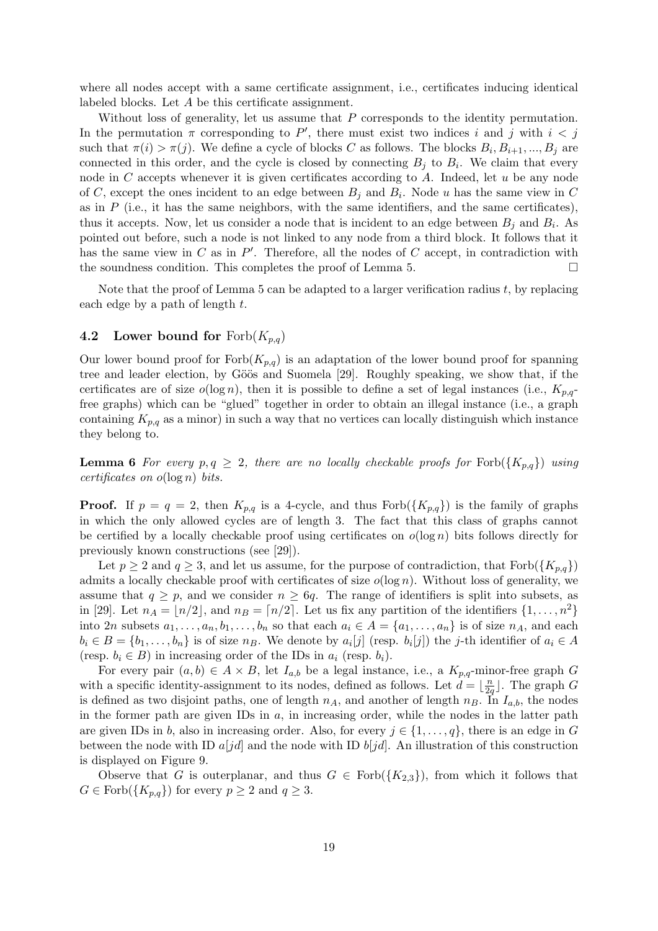where all nodes accept with a same certificate assignment, i.e., certificates inducing identical labeled blocks. Let A be this certificate assignment.

Without loss of generality, let us assume that  $P$  corresponds to the identity permutation. In the permutation  $\pi$  corresponding to P', there must exist two indices i and j with  $i < j$ such that  $\pi(i) > \pi(j)$ . We define a cycle of blocks C as follows. The blocks  $B_i, B_{i+1}, ..., B_j$  are connected in this order, and the cycle is closed by connecting  $B_j$  to  $B_i$ . We claim that every node in  $C$  accepts whenever it is given certificates according to  $A$ . Indeed, let  $u$  be any node of C, except the ones incident to an edge between  $B_j$  and  $B_i$ . Node u has the same view in C as in  $P$  (i.e., it has the same neighbors, with the same identifiers, and the same certificates), thus it accepts. Now, let us consider a node that is incident to an edge between  $B_j$  and  $B_i$ . As pointed out before, such a node is not linked to any node from a third block. It follows that it has the same view in  $C$  as in  $P'$ . Therefore, all the nodes of  $C$  accept, in contradiction with the soundness condition. This completes the proof of Lemma 5.  $\Box$ 

Note that the proof of Lemma 5 can be adapted to a larger verification radius  $t$ , by replacing each edge by a path of length  $t$ .

#### 4.2 Lower bound for  $Forb(K_{p,q})$

Our lower bound proof for  $Forb(K_{p,q})$  is an adaptation of the lower bound proof for spanning tree and leader election, by Göös and Suomela [29]. Roughly speaking, we show that, if the certificates are of size  $o(\log n)$ , then it is possible to define a set of legal instances (i.e.,  $K_{p,q}$ free graphs) which can be "glued" together in order to obtain an illegal instance (i.e., a graph containing  $K_{p,q}$  as a minor) in such a way that no vertices can locally distinguish which instance they belong to.

**Lemma 6** For every  $p, q \geq 2$ , there are no locally checkable proofs for Forb $(\{K_{p,q}\})$  using certificates on  $o(\log n)$  bits.

**Proof.** If  $p = q = 2$ , then  $K_{p,q}$  is a 4-cycle, and thus  $Forb({K_{p,q}})$  is the family of graphs in which the only allowed cycles are of length 3. The fact that this class of graphs cannot be certified by a locally checkable proof using certificates on  $o(\log n)$  bits follows directly for previously known constructions (see [29]).

Let  $p \ge 2$  and  $q \ge 3$ , and let us assume, for the purpose of contradiction, that  $\text{Forb}(\lbrace K_{p,q} \rbrace)$ admits a locally checkable proof with certificates of size  $o(\log n)$ . Without loss of generality, we assume that  $q \geq p$ , and we consider  $n \geq 6q$ . The range of identifiers is split into subsets, as in [29]. Let  $n_A = \lfloor n/2 \rfloor$ , and  $n_B = \lfloor n/2 \rfloor$ . Let us fix any partition of the identifiers  $\{1, \ldots, n^2\}$ into 2n subsets  $a_1, \ldots, a_n, b_1, \ldots, b_n$  so that each  $a_i \in A = \{a_1, \ldots, a_n\}$  is of size  $n_A$ , and each  $b_i \in B = \{b_1, \ldots, b_n\}$  is of size  $n_B$ . We denote by  $a_i[j]$  (resp.  $b_i[j]$ ) the j-th identifier of  $a_i \in A$ (resp.  $b_i \in B$ ) in increasing order of the IDs in  $a_i$  (resp.  $b_i$ ).

For every pair  $(a, b) \in A \times B$ , let  $I_{a,b}$  be a legal instance, i.e., a  $K_{p,q}$ -minor-free graph G with a specific identity-assignment to its nodes, defined as follows. Let  $d = \frac{b}{2}$  $\frac{n}{2q}$ . The graph G is defined as two disjoint paths, one of length  $n_A$ , and another of length  $n_B$ . In  $I_{a,b}$ , the nodes in the former path are given IDs in  $a$ , in increasing order, while the nodes in the latter path are given IDs in b, also in increasing order. Also, for every  $j \in \{1, \ldots, q\}$ , there is an edge in G between the node with ID  $a[jd]$  and the node with ID  $b[jd]$ . An illustration of this construction is displayed on Figure 9.

Observe that G is outerplanar, and thus  $G \in \text{Forb}(\{K_{2,3}\})$ , from which it follows that  $G \in \text{Forb}(\lbrace K_{p,q} \rbrace)$  for every  $p \geq 2$  and  $q \geq 3$ .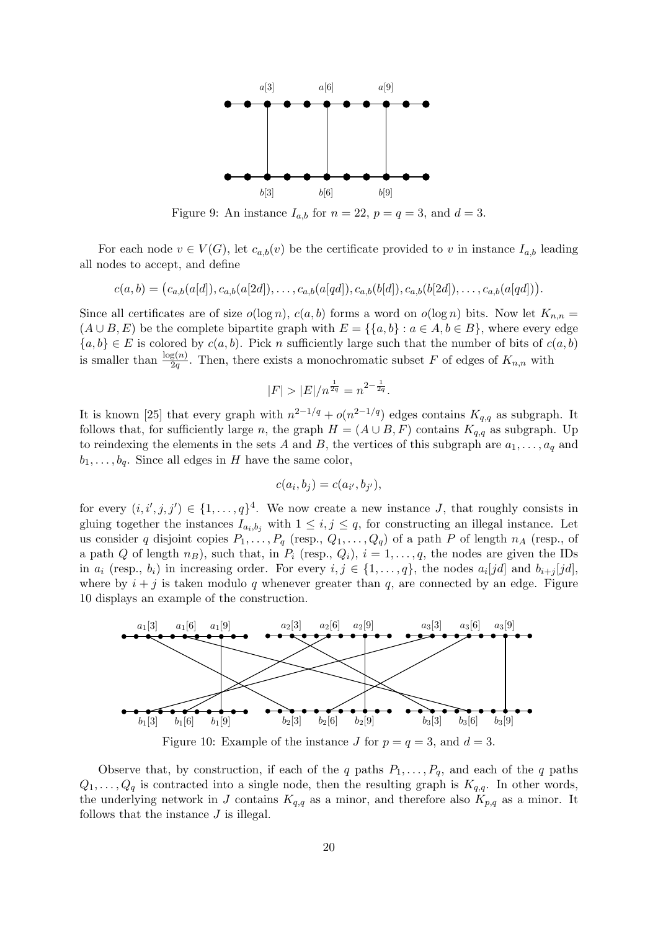

Figure 9: An instance  $I_{a,b}$  for  $n = 22$ ,  $p = q = 3$ , and  $d = 3$ .

For each node  $v \in V(G)$ , let  $c_{a,b}(v)$  be the certificate provided to v in instance  $I_{a,b}$  leading all nodes to accept, and define

$$
c(a,b) = (c_{a,b}(a[d]), c_{a,b}(a[2d]), \ldots, c_{a,b}(a[qd]), c_{a,b}(b[d]), c_{a,b}(b[2d]), \ldots, c_{a,b}(a[qd])).
$$

Since all certificates are of size  $o(\log n)$ ,  $c(a, b)$  forms a word on  $o(\log n)$  bits. Now let  $K_{n,n} =$  $(A \cup B, E)$  be the complete bipartite graph with  $E = \{ \{a, b\} : a \in A, b \in B \}$ , where every edge  ${a,b} \in E$  is colored by  $c(a, b)$ . Pick n sufficiently large such that the number of bits of  $c(a, b)$ is smaller than  $\frac{\log(n)}{2q}$ . Then, there exists a monochromatic subset F of edges of  $K_{n,n}$  with

$$
|F| > |E| / n^{\frac{1}{2q}} = n^{2 - \frac{1}{2q}}.
$$

It is known [25] that every graph with  $n^{2-1/q} + o(n^{2-1/q})$  edges contains  $K_{q,q}$  as subgraph. It follows that, for sufficiently large n, the graph  $H = (A \cup B, F)$  contains  $K_{q,q}$  as subgraph. Up to reindexing the elements in the sets A and B, the vertices of this subgraph are  $a_1, \ldots, a_q$  and  $b_1, \ldots, b_q$ . Since all edges in H have the same color,

$$
c(a_i, b_j) = c(a_{i'}, b_{j'}),
$$

for every  $(i, i', j, j') \in \{1, \ldots, q\}^4$ . We now create a new instance J, that roughly consists in gluing together the instances  $I_{a_i,b_j}$  with  $1 \leq i,j \leq q$ , for constructing an illegal instance. Let us consider q disjoint copies  $P_1, \ldots, P_q$  (resp.,  $Q_1, \ldots, Q_q$ ) of a path P of length  $n_A$  (resp., of a path Q of length  $n_B$ ), such that, in  $P_i$  (resp.,  $Q_i$ ),  $i = 1, \ldots, q$ , the nodes are given the IDs in  $a_i$  (resp.,  $b_i$ ) in increasing order. For every  $i, j \in \{1, ..., q\}$ , the nodes  $a_i[jd]$  and  $b_{i+j}[jd]$ , where by  $i + j$  is taken modulo q whenever greater than q, are connected by an edge. Figure 10 displays an example of the construction.



Figure 10: Example of the instance J for  $p = q = 3$ , and  $d = 3$ .

Observe that, by construction, if each of the q paths  $P_1, \ldots, P_q$ , and each of the q paths  $Q_1, \ldots, Q_q$  is contracted into a single node, then the resulting graph is  $K_{q,q}$ . In other words, the underlying network in J contains  $K_{q,q}$  as a minor, and therefore also  $K_{p,q}$  as a minor. It follows that the instance  $J$  is illegal.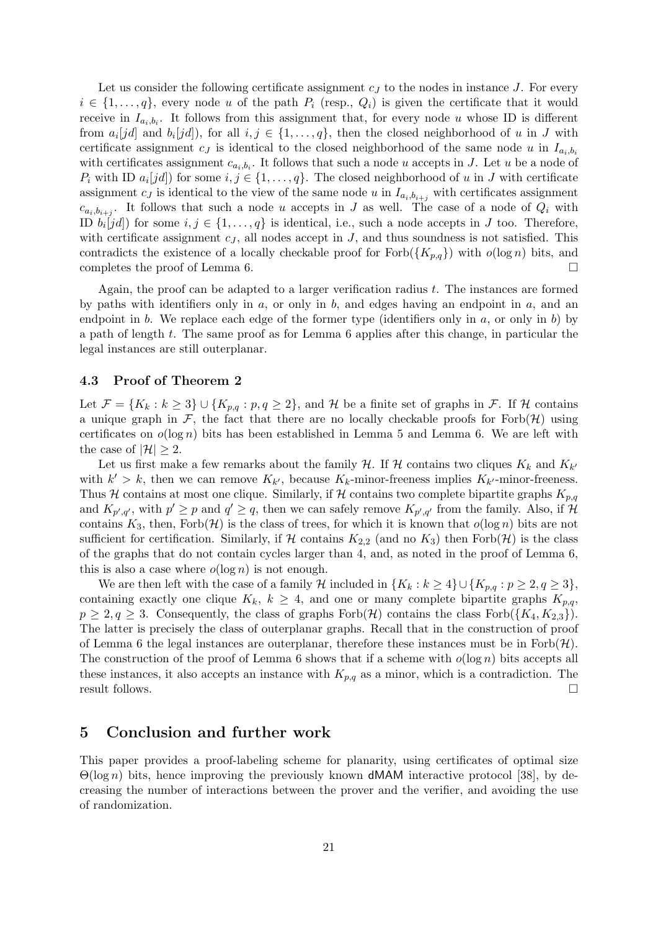Let us consider the following certificate assignment  $c_J$  to the nodes in instance J. For every  $i \in \{1, \ldots, q\}$ , every node u of the path  $P_i$  (resp.,  $Q_i$ ) is given the certificate that it would receive in  $I_{a_i,b_i}$ . It follows from this assignment that, for every node u whose ID is different from  $a_i[jd]$  and  $b_i[jd]$ ), for all  $i, j \in \{1, ..., q\}$ , then the closed neighborhood of u in J with certificate assignment  $c_J$  is identical to the closed neighborhood of the same node u in  $I_{a_i,b_i}$ with certificates assignment  $c_{a_i,b_i}$ . It follows that such a node u accepts in J. Let u be a node of  $P_i$  with ID  $a_i[jd]$  for some  $i, j \in \{1, ..., q\}$ . The closed neighborhood of u in J with certificate assignment  $c_j$  is identical to the view of the same node u in  $I_{a_i,b_{i+j}}$  with certificates assignment  $c_{a_i,b_{i+j}}$ . It follows that such a node u accepts in J as well. The case of a node of  $Q_i$  with ID  $b_i[jd]$  for some  $i, j \in \{1, ..., q\}$  is identical, i.e., such a node accepts in J too. Therefore, with certificate assignment  $c_j$ , all nodes accept in  $J$ , and thus soundness is not satisfied. This contradicts the existence of a locally checkable proof for  $Forb({K_{p,q}})$  with  $o(\log n)$  bits, and completes the proof of Lemma 6.

Again, the proof can be adapted to a larger verification radius  $t$ . The instances are formed by paths with identifiers only in  $a$ , or only in  $b$ , and edges having an endpoint in  $a$ , and an endpoint in b. We replace each edge of the former type (identifiers only in  $a$ , or only in b) by a path of length t. The same proof as for Lemma 6 applies after this change, in particular the legal instances are still outerplanar.

#### 4.3 Proof of Theorem 2

Let  $\mathcal{F} = \{K_k : k \geq 3\} \cup \{K_{p,q} : p,q \geq 2\}$ , and H be a finite set of graphs in F. If H contains a unique graph in F, the fact that there are no locally checkable proofs for Forb $(H)$  using certificates on  $o(\log n)$  bits has been established in Lemma 5 and Lemma 6. We are left with the case of  $|\mathcal{H}| > 2$ .

Let us first make a few remarks about the family  $\mathcal{H}$ . If  $\mathcal{H}$  contains two cliques  $K_k$  and  $K_{k'}$ with  $k' > k$ , then we can remove  $K_{k'}$ , because  $K_k$ -minor-freeness implies  $K_{k'}$ -minor-freeness. Thus H contains at most one clique. Similarly, if H contains two complete bipartite graphs  $K_{p,q}$ and  $K_{p',q'}$ , with  $p' \geq p$  and  $q' \geq q$ , then we can safely remove  $K_{p',q'}$  from the family. Also, if H contains  $K_3$ , then,  $Forb(\mathcal{H})$  is the class of trees, for which it is known that  $o(\log n)$  bits are not sufficient for certification. Similarly, if H contains  $K_{2,2}$  (and no  $K_3$ ) then Forb $(\mathcal{H})$  is the class of the graphs that do not contain cycles larger than 4, and, as noted in the proof of Lemma 6, this is also a case where  $o(\log n)$  is not enough.

We are then left with the case of a family H included in  $\{K_k : k \geq 4\} \cup \{K_{p,q} : p \geq 2, q \geq 3\},\$ containing exactly one clique  $K_k$ ,  $k \geq 4$ , and one or many complete bipartite graphs  $K_{p,q}$ ,  $p \geq 2, q \geq 3$ . Consequently, the class of graphs Forb $(\mathcal{H})$  contains the class Forb $(\{K_4, K_{2,3}\})$ . The latter is precisely the class of outerplanar graphs. Recall that in the construction of proof of Lemma 6 the legal instances are outerplanar, therefore these instances must be in  $\text{Forb}(\mathcal{H})$ . The construction of the proof of Lemma 6 shows that if a scheme with  $o(\log n)$  bits accepts all these instances, it also accepts an instance with  $K_{p,q}$  as a minor, which is a contradiction. The result follows.  $\Box$ 

## 5 Conclusion and further work

This paper provides a proof-labeling scheme for planarity, using certificates of optimal size  $\Theta(\log n)$  bits, hence improving the previously known dMAM interactive protocol [38], by decreasing the number of interactions between the prover and the verifier, and avoiding the use of randomization.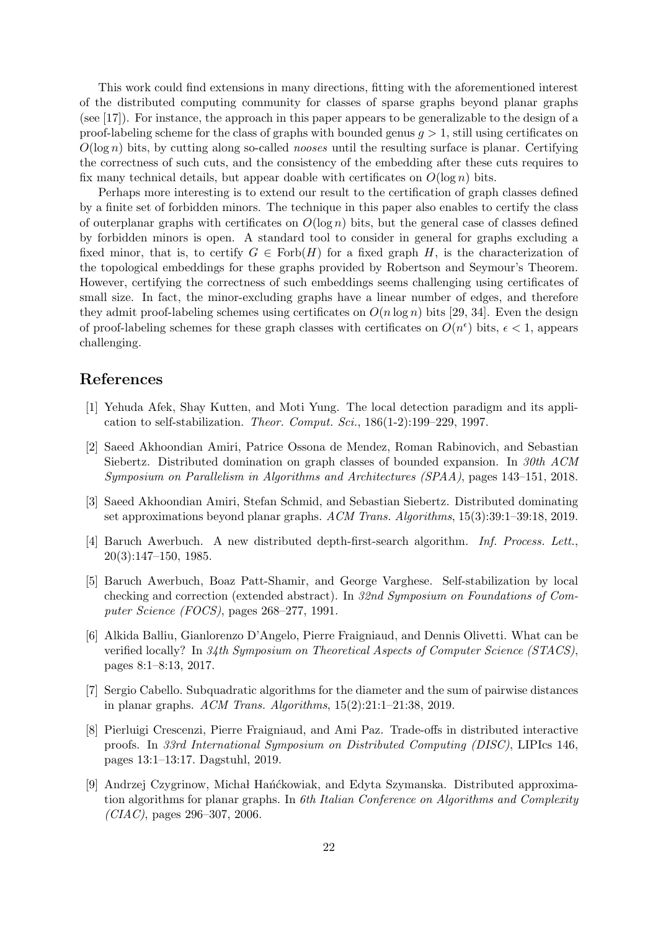This work could find extensions in many directions, fitting with the aforementioned interest of the distributed computing community for classes of sparse graphs beyond planar graphs (see [17]). For instance, the approach in this paper appears to be generalizable to the design of a proof-labeling scheme for the class of graphs with bounded genus  $g > 1$ , still using certificates on  $O(\log n)$  bits, by cutting along so-called *nooses* until the resulting surface is planar. Certifying the correctness of such cuts, and the consistency of the embedding after these cuts requires to fix many technical details, but appear doable with certificates on  $O(\log n)$  bits.

Perhaps more interesting is to extend our result to the certification of graph classes defined by a finite set of forbidden minors. The technique in this paper also enables to certify the class of outerplanar graphs with certificates on  $O(\log n)$  bits, but the general case of classes defined by forbidden minors is open. A standard tool to consider in general for graphs excluding a fixed minor, that is, to certify  $G \in \text{Forb}(H)$  for a fixed graph H, is the characterization of the topological embeddings for these graphs provided by Robertson and Seymour's Theorem. However, certifying the correctness of such embeddings seems challenging using certificates of small size. In fact, the minor-excluding graphs have a linear number of edges, and therefore they admit proof-labeling schemes using certificates on  $O(n \log n)$  bits [29, 34]. Even the design of proof-labeling schemes for these graph classes with certificates on  $O(n^{\epsilon})$  bits,  $\epsilon < 1$ , appears challenging.

# References

- [1] Yehuda Afek, Shay Kutten, and Moti Yung. The local detection paradigm and its application to self-stabilization. Theor. Comput. Sci., 186(1-2):199–229, 1997.
- [2] Saeed Akhoondian Amiri, Patrice Ossona de Mendez, Roman Rabinovich, and Sebastian Siebertz. Distributed domination on graph classes of bounded expansion. In 30th ACM Symposium on Parallelism in Algorithms and Architectures (SPAA), pages 143–151, 2018.
- [3] Saeed Akhoondian Amiri, Stefan Schmid, and Sebastian Siebertz. Distributed dominating set approximations beyond planar graphs. ACM Trans. Algorithms, 15(3):39:1–39:18, 2019.
- [4] Baruch Awerbuch. A new distributed depth-first-search algorithm. Inf. Process. Lett., 20(3):147–150, 1985.
- [5] Baruch Awerbuch, Boaz Patt-Shamir, and George Varghese. Self-stabilization by local checking and correction (extended abstract). In 32nd Symposium on Foundations of Computer Science (FOCS), pages 268–277, 1991.
- [6] Alkida Balliu, Gianlorenzo D'Angelo, Pierre Fraigniaud, and Dennis Olivetti. What can be verified locally? In 34th Symposium on Theoretical Aspects of Computer Science (STACS), pages 8:1–8:13, 2017.
- [7] Sergio Cabello. Subquadratic algorithms for the diameter and the sum of pairwise distances in planar graphs. ACM Trans. Algorithms, 15(2):21:1–21:38, 2019.
- [8] Pierluigi Crescenzi, Pierre Fraigniaud, and Ami Paz. Trade-offs in distributed interactive proofs. In 33rd International Symposium on Distributed Computing (DISC), LIPIcs 146, pages 13:1–13:17. Dagstuhl, 2019.
- [9] Andrzej Czygrinow, Michał Hańćkowiak, and Edyta Szymanska. Distributed approximation algorithms for planar graphs. In 6th Italian Conference on Algorithms and Complexity  $(CIAC)$ , pages 296–307, 2006.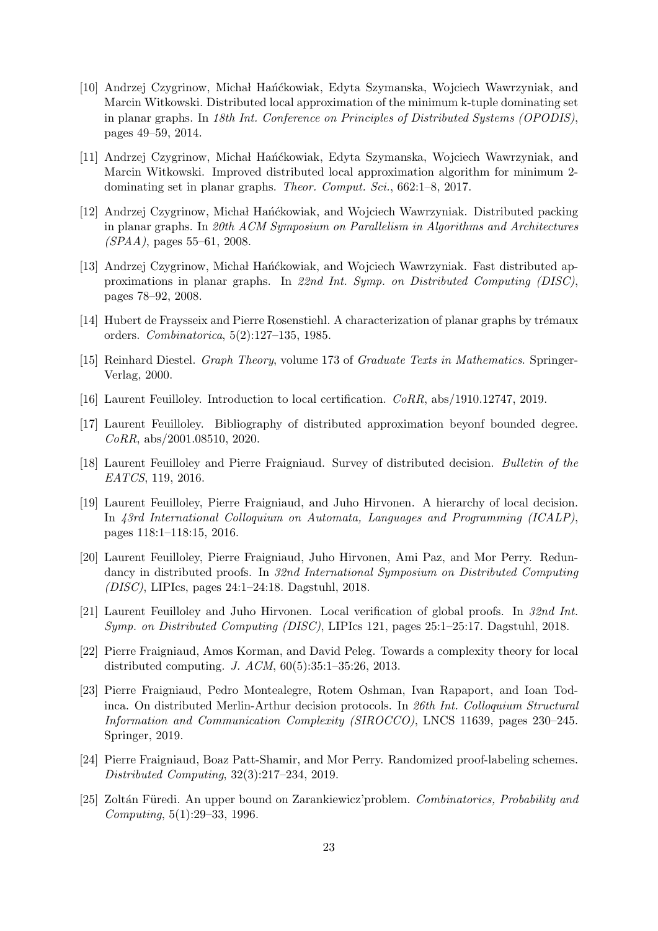- [10] Andrzej Czygrinow, Michał Hańćkowiak, Edyta Szymanska, Wojciech Wawrzyniak, and Marcin Witkowski. Distributed local approximation of the minimum k-tuple dominating set in planar graphs. In 18th Int. Conference on Principles of Distributed Systems (OPODIS), pages 49–59, 2014.
- [11] Andrzej Czygrinow, Michał Hańćkowiak, Edyta Szymanska, Wojciech Wawrzyniak, and Marcin Witkowski. Improved distributed local approximation algorithm for minimum 2 dominating set in planar graphs. Theor. Comput. Sci., 662:1–8, 2017.
- [12] Andrzej Czygrinow, Michał Hańćkowiak, and Wojciech Wawrzyniak. Distributed packing in planar graphs. In 20th ACM Symposium on Parallelism in Algorithms and Architectures  $(SPAA)$ , pages 55–61, 2008.
- [13] Andrzej Czygrinow, Michał Hańćkowiak, and Wojciech Wawrzyniak. Fast distributed approximations in planar graphs. In 22nd Int. Symp. on Distributed Computing (DISC), pages 78–92, 2008.
- [14] Hubert de Fraysseix and Pierre Rosenstiehl. A characterization of planar graphs by trémaux orders. Combinatorica, 5(2):127–135, 1985.
- [15] Reinhard Diestel. Graph Theory, volume 173 of Graduate Texts in Mathematics. Springer-Verlag, 2000.
- [16] Laurent Feuilloley. Introduction to local certification. CoRR, abs/1910.12747, 2019.
- [17] Laurent Feuilloley. Bibliography of distributed approximation beyonf bounded degree. CoRR, abs/2001.08510, 2020.
- [18] Laurent Feuilloley and Pierre Fraigniaud. Survey of distributed decision. Bulletin of the EATCS, 119, 2016.
- [19] Laurent Feuilloley, Pierre Fraigniaud, and Juho Hirvonen. A hierarchy of local decision. In 43rd International Colloquium on Automata, Languages and Programming (ICALP), pages 118:1–118:15, 2016.
- [20] Laurent Feuilloley, Pierre Fraigniaud, Juho Hirvonen, Ami Paz, and Mor Perry. Redundancy in distributed proofs. In 32nd International Symposium on Distributed Computing (DISC), LIPIcs, pages 24:1–24:18. Dagstuhl, 2018.
- [21] Laurent Feuilloley and Juho Hirvonen. Local verification of global proofs. In 32nd Int. Symp. on Distributed Computing (DISC), LIPIcs 121, pages 25:1–25:17. Dagstuhl, 2018.
- [22] Pierre Fraigniaud, Amos Korman, and David Peleg. Towards a complexity theory for local distributed computing. J. ACM, 60(5):35:1–35:26, 2013.
- [23] Pierre Fraigniaud, Pedro Montealegre, Rotem Oshman, Ivan Rapaport, and Ioan Todinca. On distributed Merlin-Arthur decision protocols. In 26th Int. Colloquium Structural Information and Communication Complexity (SIROCCO), LNCS 11639, pages 230–245. Springer, 2019.
- [24] Pierre Fraigniaud, Boaz Patt-Shamir, and Mor Perry. Randomized proof-labeling schemes. Distributed Computing, 32(3):217–234, 2019.
- [25] Zoltán Füredi. An upper bound on Zarankiewicz' problem. Combinatorics, Probability and Computing, 5(1):29–33, 1996.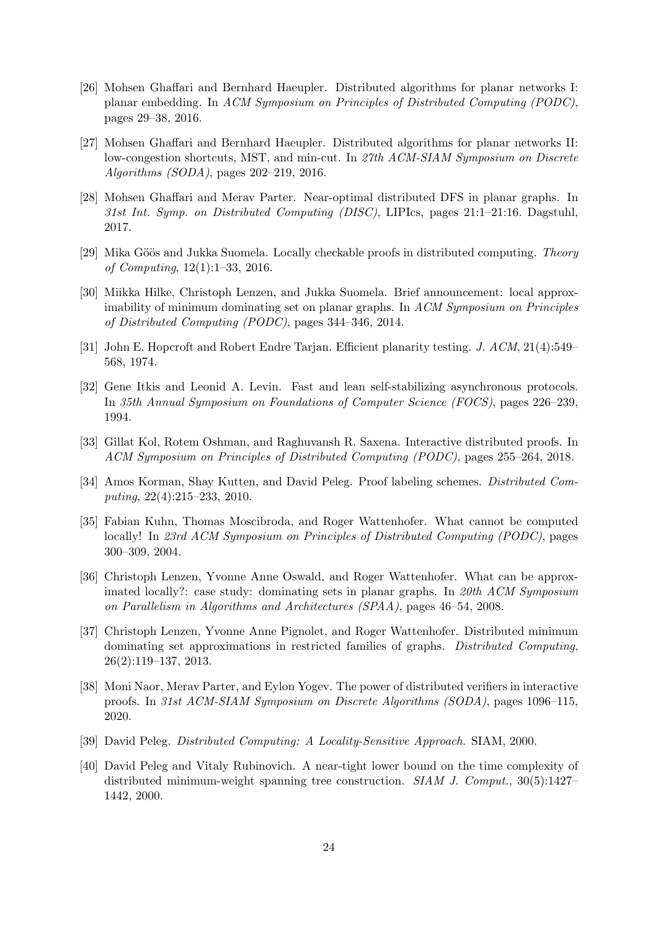- [26] Mohsen Ghaffari and Bernhard Haeupler. Distributed algorithms for planar networks I: planar embedding. In ACM Symposium on Principles of Distributed Computing (PODC), pages 29–38, 2016.
- [27] Mohsen Ghaffari and Bernhard Haeupler. Distributed algorithms for planar networks II: low-congestion shortcuts, MST, and min-cut. In 27th ACM-SIAM Symposium on Discrete Algorithms (SODA), pages 202–219, 2016.
- [28] Mohsen Ghaffari and Merav Parter. Near-optimal distributed DFS in planar graphs. In 31st Int. Symp. on Distributed Computing (DISC), LIPIcs, pages 21:1–21:16. Dagstuhl, 2017.
- [29] Mika Göös and Jukka Suomela. Locally checkable proofs in distributed computing. Theory of Computing, 12(1):1–33, 2016.
- [30] Miikka Hilke, Christoph Lenzen, and Jukka Suomela. Brief announcement: local approximability of minimum dominating set on planar graphs. In ACM Symposium on Principles of Distributed Computing (PODC), pages 344–346, 2014.
- [31] John E. Hopcroft and Robert Endre Tarjan. Efficient planarity testing. J. ACM, 21(4):549– 568, 1974.
- [32] Gene Itkis and Leonid A. Levin. Fast and lean self-stabilizing asynchronous protocols. In 35th Annual Symposium on Foundations of Computer Science (FOCS), pages 226–239, 1994.
- [33] Gillat Kol, Rotem Oshman, and Raghuvansh R. Saxena. Interactive distributed proofs. In ACM Symposium on Principles of Distributed Computing (PODC), pages 255–264, 2018.
- [34] Amos Korman, Shay Kutten, and David Peleg. Proof labeling schemes. Distributed Computing, 22(4):215–233, 2010.
- [35] Fabian Kuhn, Thomas Moscibroda, and Roger Wattenhofer. What cannot be computed locally! In 23rd ACM Symposium on Principles of Distributed Computing (PODC), pages 300–309, 2004.
- [36] Christoph Lenzen, Yvonne Anne Oswald, and Roger Wattenhofer. What can be approximated locally?: case study: dominating sets in planar graphs. In 20th ACM Symposium on Parallelism in Algorithms and Architectures (SPAA), pages 46–54, 2008.
- [37] Christoph Lenzen, Yvonne Anne Pignolet, and Roger Wattenhofer. Distributed minimum dominating set approximations in restricted families of graphs. Distributed Computing, 26(2):119–137, 2013.
- [38] Moni Naor, Merav Parter, and Eylon Yogev. The power of distributed verifiers in interactive proofs. In 31st ACM-SIAM Symposium on Discrete Algorithms (SODA), pages 1096–115, 2020.
- [39] David Peleg. Distributed Computing: A Locality-Sensitive Approach. SIAM, 2000.
- [40] David Peleg and Vitaly Rubinovich. A near-tight lower bound on the time complexity of distributed minimum-weight spanning tree construction. SIAM J. Comput., 30(5):1427– 1442, 2000.